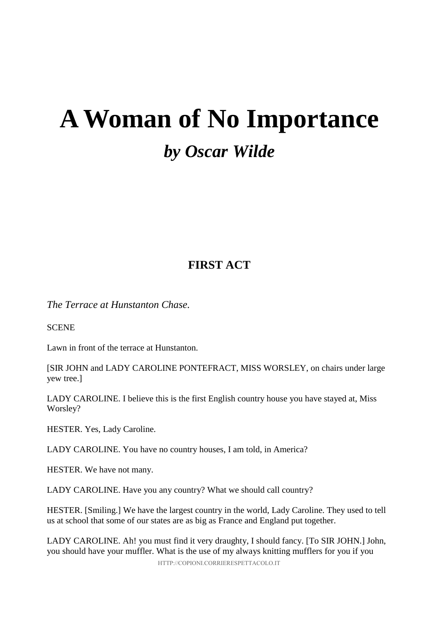# **A Woman of No Importance** *by Oscar Wilde*

## **FIRST ACT**

*The Terrace at Hunstanton Chase.* 

**SCENE** 

Lawn in front of the terrace at Hunstanton.

[SIR JOHN and LADY CAROLINE PONTEFRACT, MISS WORSLEY, on chairs under large yew tree.]

LADY CAROLINE. I believe this is the first English country house you have stayed at, Miss Worsley?

HESTER. Yes, Lady Caroline.

LADY CAROLINE. You have no country houses, I am told, in America?

HESTER. We have not many.

LADY CAROLINE. Have you any country? What we should call country?

HESTER. [Smiling.] We have the largest country in the world, Lady Caroline. They used to tell us at school that some of our states are as big as France and England put together.

LADY CAROLINE. Ah! you must find it very draughty, I should fancy. [To SIR JOHN.] John, you should have your muffler. What is the use of my always knitting mufflers for you if you

HTTP://COPIONI.CORRIERESPETTACOLO.IT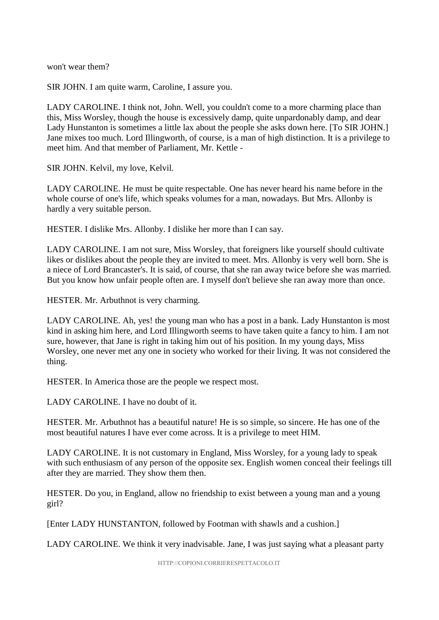won't wear them?

SIR JOHN. I am quite warm, Caroline, I assure you.

LADY CAROLINE. I think not, John. Well, you couldn't come to a more charming place than this, Miss Worsley, though the house is excessively damp, quite unpardonably damp, and dear Lady Hunstanton is sometimes a little lax about the people she asks down here. [To SIR JOHN.] Jane mixes too much. Lord Illingworth, of course, is a man of high distinction. It is a privilege to meet him. And that member of Parliament, Mr. Kettle -

SIR JOHN. Kelvil, my love, Kelvil.

LADY CAROLINE. He must be quite respectable. One has never heard his name before in the whole course of one's life, which speaks volumes for a man, nowadays. But Mrs. Allonby is hardly a very suitable person.

HESTER. I dislike Mrs. Allonby. I dislike her more than I can say.

LADY CAROLINE. I am not sure, Miss Worsley, that foreigners like yourself should cultivate likes or dislikes about the people they are invited to meet. Mrs. Allonby is very well born. She is a niece of Lord Brancaster's. It is said, of course, that she ran away twice before she was married. But you know how unfair people often are. I myself don't believe she ran away more than once.

HESTER. Mr. Arbuthnot is very charming.

LADY CAROLINE. Ah, yes! the young man who has a post in a bank. Lady Hunstanton is most kind in asking him here, and Lord Illingworth seems to have taken quite a fancy to him. I am not sure, however, that Jane is right in taking him out of his position. In my young days, Miss Worsley, one never met any one in society who worked for their living. It was not considered the thing.

HESTER. In America those are the people we respect most.

LADY CAROLINE. I have no doubt of it.

HESTER. Mr. Arbuthnot has a beautiful nature! He is so simple, so sincere. He has one of the most beautiful natures I have ever come across. It is a privilege to meet HIM.

LADY CAROLINE. It is not customary in England, Miss Worsley, for a young lady to speak with such enthusiasm of any person of the opposite sex. English women conceal their feelings till after they are married. They show them then.

HESTER. Do you, in England, allow no friendship to exist between a young man and a young girl?

[Enter LADY HUNSTANTON, followed by Footman with shawls and a cushion.]

LADY CAROLINE. We think it very inadvisable. Jane, I was just saying what a pleasant party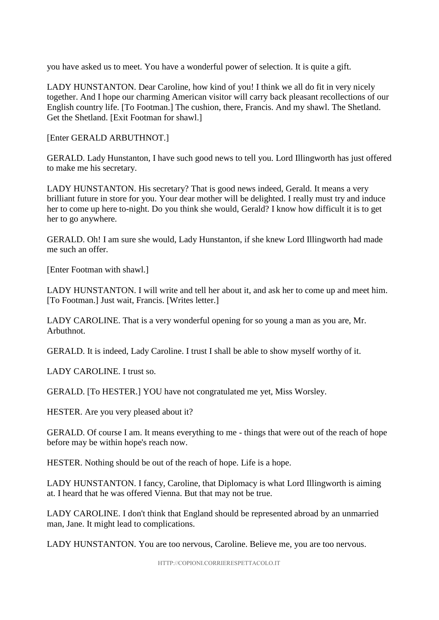you have asked us to meet. You have a wonderful power of selection. It is quite a gift.

LADY HUNSTANTON. Dear Caroline, how kind of you! I think we all do fit in very nicely together. And I hope our charming American visitor will carry back pleasant recollections of our English country life. [To Footman.] The cushion, there, Francis. And my shawl. The Shetland. Get the Shetland. [Exit Footman for shawl.]

[Enter GERALD ARBUTHNOT.]

GERALD. Lady Hunstanton, I have such good news to tell you. Lord Illingworth has just offered to make me his secretary.

LADY HUNSTANTON. His secretary? That is good news indeed, Gerald. It means a very brilliant future in store for you. Your dear mother will be delighted. I really must try and induce her to come up here to-night. Do you think she would, Gerald? I know how difficult it is to get her to go anywhere.

GERALD. Oh! I am sure she would, Lady Hunstanton, if she knew Lord Illingworth had made me such an offer.

[Enter Footman with shawl.]

LADY HUNSTANTON. I will write and tell her about it, and ask her to come up and meet him. [To Footman.] Just wait, Francis. [Writes letter.]

LADY CAROLINE. That is a very wonderful opening for so young a man as you are, Mr. Arbuthnot.

GERALD. It is indeed, Lady Caroline. I trust I shall be able to show myself worthy of it.

LADY CAROLINE. I trust so.

GERALD. [To HESTER.] YOU have not congratulated me yet, Miss Worsley.

HESTER. Are you very pleased about it?

GERALD. Of course I am. It means everything to me - things that were out of the reach of hope before may be within hope's reach now.

HESTER. Nothing should be out of the reach of hope. Life is a hope.

LADY HUNSTANTON. I fancy, Caroline, that Diplomacy is what Lord Illingworth is aiming at. I heard that he was offered Vienna. But that may not be true.

LADY CAROLINE. I don't think that England should be represented abroad by an unmarried man, Jane. It might lead to complications.

LADY HUNSTANTON. You are too nervous, Caroline. Believe me, you are too nervous.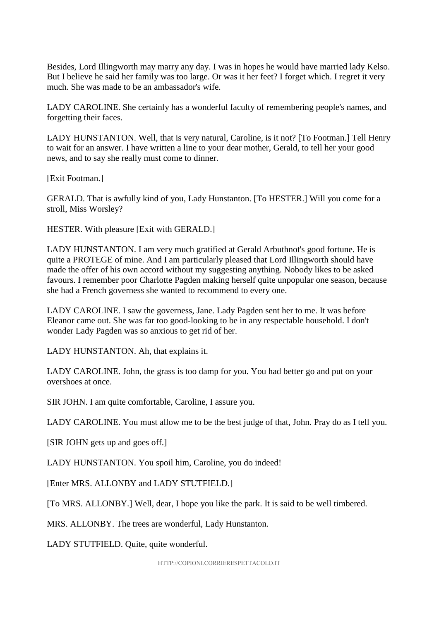Besides, Lord Illingworth may marry any day. I was in hopes he would have married lady Kelso. But I believe he said her family was too large. Or was it her feet? I forget which. I regret it very much. She was made to be an ambassador's wife.

LADY CAROLINE. She certainly has a wonderful faculty of remembering people's names, and forgetting their faces.

LADY HUNSTANTON. Well, that is very natural, Caroline, is it not? [To Footman.] Tell Henry to wait for an answer. I have written a line to your dear mother, Gerald, to tell her your good news, and to say she really must come to dinner.

[Exit Footman.]

GERALD. That is awfully kind of you, Lady Hunstanton. [To HESTER.] Will you come for a stroll, Miss Worsley?

HESTER. With pleasure [Exit with GERALD.]

LADY HUNSTANTON. I am very much gratified at Gerald Arbuthnot's good fortune. He is quite a PROTEGE of mine. And I am particularly pleased that Lord Illingworth should have made the offer of his own accord without my suggesting anything. Nobody likes to be asked favours. I remember poor Charlotte Pagden making herself quite unpopular one season, because she had a French governess she wanted to recommend to every one.

LADY CAROLINE. I saw the governess, Jane. Lady Pagden sent her to me. It was before Eleanor came out. She was far too good-looking to be in any respectable household. I don't wonder Lady Pagden was so anxious to get rid of her.

LADY HUNSTANTON. Ah, that explains it.

LADY CAROLINE. John, the grass is too damp for you. You had better go and put on your overshoes at once.

SIR JOHN. I am quite comfortable, Caroline, I assure you.

LADY CAROLINE. You must allow me to be the best judge of that, John. Pray do as I tell you.

[SIR JOHN gets up and goes off.]

LADY HUNSTANTON. You spoil him, Caroline, you do indeed!

[Enter MRS. ALLONBY and LADY STUTFIELD.]

[To MRS. ALLONBY.] Well, dear, I hope you like the park. It is said to be well timbered.

MRS. ALLONBY. The trees are wonderful, Lady Hunstanton.

LADY STUTFIELD. Quite, quite wonderful.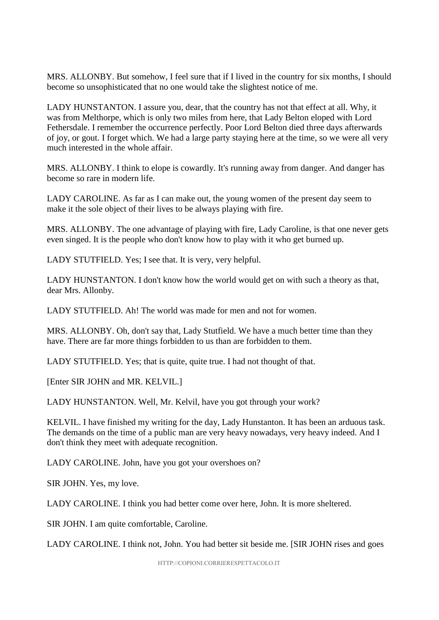MRS. ALLONBY. But somehow, I feel sure that if I lived in the country for six months, I should become so unsophisticated that no one would take the slightest notice of me.

LADY HUNSTANTON. I assure you, dear, that the country has not that effect at all. Why, it was from Melthorpe, which is only two miles from here, that Lady Belton eloped with Lord Fethersdale. I remember the occurrence perfectly. Poor Lord Belton died three days afterwards of joy, or gout. I forget which. We had a large party staying here at the time, so we were all very much interested in the whole affair.

MRS. ALLONBY. I think to elope is cowardly. It's running away from danger. And danger has become so rare in modern life.

LADY CAROLINE. As far as I can make out, the young women of the present day seem to make it the sole object of their lives to be always playing with fire.

MRS. ALLONBY. The one advantage of playing with fire, Lady Caroline, is that one never gets even singed. It is the people who don't know how to play with it who get burned up.

LADY STUTFIELD. Yes; I see that. It is very, very helpful.

LADY HUNSTANTON. I don't know how the world would get on with such a theory as that, dear Mrs. Allonby.

LADY STUTFIELD. Ah! The world was made for men and not for women.

MRS. ALLONBY. Oh, don't say that, Lady Stutfield. We have a much better time than they have. There are far more things forbidden to us than are forbidden to them.

LADY STUTFIELD. Yes; that is quite, quite true. I had not thought of that.

[Enter SIR JOHN and MR. KELVIL.]

LADY HUNSTANTON. Well, Mr. Kelvil, have you got through your work?

KELVIL. I have finished my writing for the day, Lady Hunstanton. It has been an arduous task. The demands on the time of a public man are very heavy nowadays, very heavy indeed. And I don't think they meet with adequate recognition.

LADY CAROLINE. John, have you got your overshoes on?

SIR JOHN. Yes, my love.

LADY CAROLINE. I think you had better come over here, John. It is more sheltered.

SIR JOHN. I am quite comfortable, Caroline.

LADY CAROLINE. I think not, John. You had better sit beside me. [SIR JOHN rises and goes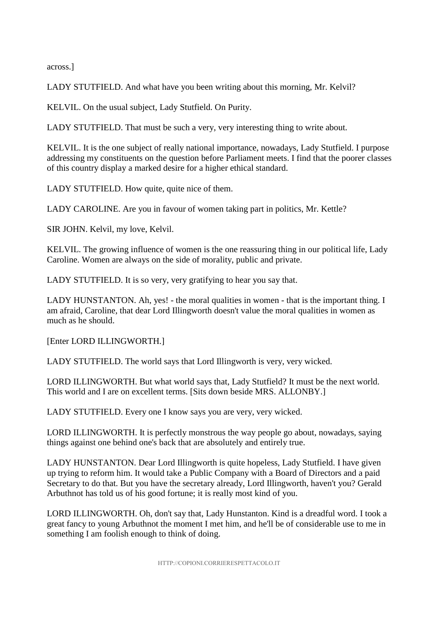across.]

LADY STUTFIELD. And what have you been writing about this morning, Mr. Kelvil?

KELVIL. On the usual subject, Lady Stutfield. On Purity.

LADY STUTFIELD. That must be such a very, very interesting thing to write about.

KELVIL. It is the one subject of really national importance, nowadays, Lady Stutfield. I purpose addressing my constituents on the question before Parliament meets. I find that the poorer classes of this country display a marked desire for a higher ethical standard.

LADY STUTFIELD. How quite, quite nice of them.

LADY CAROLINE. Are you in favour of women taking part in politics, Mr. Kettle?

SIR JOHN. Kelvil, my love, Kelvil.

KELVIL. The growing influence of women is the one reassuring thing in our political life, Lady Caroline. Women are always on the side of morality, public and private.

LADY STUTFIELD. It is so very, very gratifying to hear you say that.

LADY HUNSTANTON. Ah, yes! - the moral qualities in women - that is the important thing. I am afraid, Caroline, that dear Lord Illingworth doesn't value the moral qualities in women as much as he should.

[Enter LORD ILLINGWORTH.]

LADY STUTFIELD. The world says that Lord Illingworth is very, very wicked.

LORD ILLINGWORTH. But what world says that, Lady Stutfield? It must be the next world. This world and I are on excellent terms. [Sits down beside MRS. ALLONBY.]

LADY STUTFIELD. Every one I know says you are very, very wicked.

LORD ILLINGWORTH. It is perfectly monstrous the way people go about, nowadays, saying things against one behind one's back that are absolutely and entirely true.

LADY HUNSTANTON. Dear Lord Illingworth is quite hopeless, Lady Stutfield. I have given up trying to reform him. It would take a Public Company with a Board of Directors and a paid Secretary to do that. But you have the secretary already, Lord Illingworth, haven't you? Gerald Arbuthnot has told us of his good fortune; it is really most kind of you.

LORD ILLINGWORTH. Oh, don't say that, Lady Hunstanton. Kind is a dreadful word. I took a great fancy to young Arbuthnot the moment I met him, and he'll be of considerable use to me in something I am foolish enough to think of doing.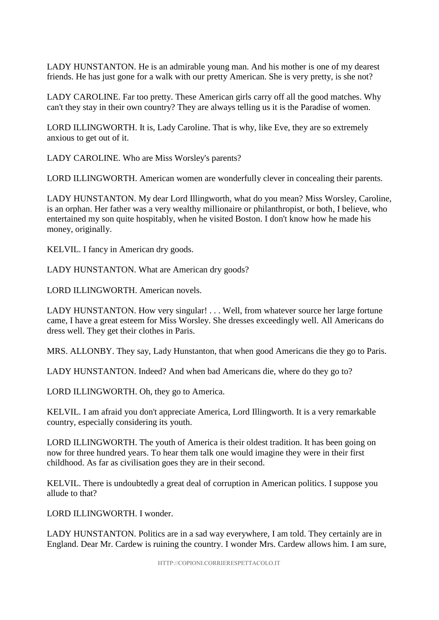LADY HUNSTANTON. He is an admirable young man. And his mother is one of my dearest friends. He has just gone for a walk with our pretty American. She is very pretty, is she not?

LADY CAROLINE. Far too pretty. These American girls carry off all the good matches. Why can't they stay in their own country? They are always telling us it is the Paradise of women.

LORD ILLINGWORTH. It is, Lady Caroline. That is why, like Eve, they are so extremely anxious to get out of it.

LADY CAROLINE. Who are Miss Worsley's parents?

LORD ILLINGWORTH. American women are wonderfully clever in concealing their parents.

LADY HUNSTANTON. My dear Lord Illingworth, what do you mean? Miss Worsley, Caroline, is an orphan. Her father was a very wealthy millionaire or philanthropist, or both, I believe, who entertained my son quite hospitably, when he visited Boston. I don't know how he made his money, originally.

KELVIL. I fancy in American dry goods.

LADY HUNSTANTON. What are American dry goods?

LORD ILLINGWORTH. American novels.

LADY HUNSTANTON. How very singular! . . . Well, from whatever source her large fortune came, I have a great esteem for Miss Worsley. She dresses exceedingly well. All Americans do dress well. They get their clothes in Paris.

MRS. ALLONBY. They say, Lady Hunstanton, that when good Americans die they go to Paris.

LADY HUNSTANTON. Indeed? And when bad Americans die, where do they go to?

LORD ILLINGWORTH. Oh, they go to America.

KELVIL. I am afraid you don't appreciate America, Lord Illingworth. It is a very remarkable country, especially considering its youth.

LORD ILLINGWORTH. The youth of America is their oldest tradition. It has been going on now for three hundred years. To hear them talk one would imagine they were in their first childhood. As far as civilisation goes they are in their second.

KELVIL. There is undoubtedly a great deal of corruption in American politics. I suppose you allude to that?

LORD ILLINGWORTH. I wonder.

LADY HUNSTANTON. Politics are in a sad way everywhere, I am told. They certainly are in England. Dear Mr. Cardew is ruining the country. I wonder Mrs. Cardew allows him. I am sure,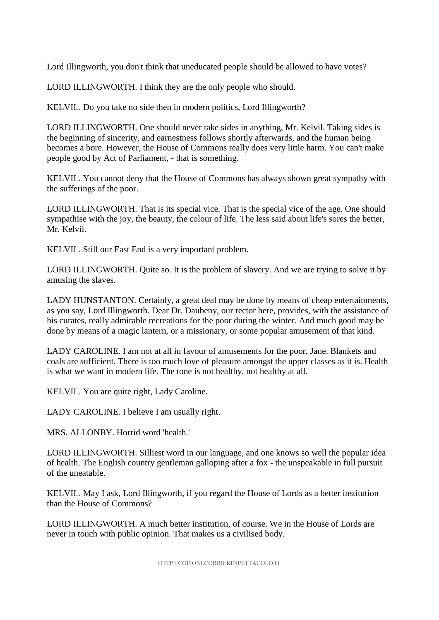Lord Illingworth, you don't think that uneducated people should be allowed to have votes?

LORD ILLINGWORTH. I think they are the only people who should.

KELVIL. Do you take no side then in modern politics, Lord Illingworth?

LORD ILLINGWORTH. One should never take sides in anything, Mr. Kelvil. Taking sides is the beginning of sincerity, and earnestness follows shortly afterwards, and the human being becomes a bore. However, the House of Commons really does very little harm. You can't make people good by Act of Parliament, - that is something.

KELVIL. You cannot deny that the House of Commons has always shown great sympathy with the sufferings of the poor.

LORD ILLINGWORTH. That is its special vice. That is the special vice of the age. One should sympathise with the joy, the beauty, the colour of life. The less said about life's sores the better, Mr. Kelvil.

KELVIL. Still our East End is a very important problem.

LORD ILLINGWORTH. Quite so. It is the problem of slavery. And we are trying to solve it by amusing the slaves.

LADY HUNSTANTON. Certainly, a great deal may be done by means of cheap entertainments, as you say, Lord Illingworth. Dear Dr. Daubeny, our rector here, provides, with the assistance of his curates, really admirable recreations for the poor during the winter. And much good may be done by means of a magic lantern, or a missionary, or some popular amusement of that kind.

LADY CAROLINE. I am not at all in favour of amusements for the poor, Jane. Blankets and coals are sufficient. There is too much love of pleasure amongst the upper classes as it is. Health is what we want in modern life. The tone is not healthy, not healthy at all.

KELVIL. You are quite right, Lady Caroline.

LADY CAROLINE. I believe I am usually right.

MRS. ALLONBY. Horrid word 'health.'

LORD ILLINGWORTH. Silliest word in our language, and one knows so well the popular idea of health. The English country gentleman galloping after a fox - the unspeakable in full pursuit of the uneatable.

KELVIL. May I ask, Lord Illingworth, if you regard the House of Lords as a better institution than the House of Commons?

LORD ILLINGWORTH. A much better institution, of course. We in the House of Lords are never in touch with public opinion. That makes us a civilised body.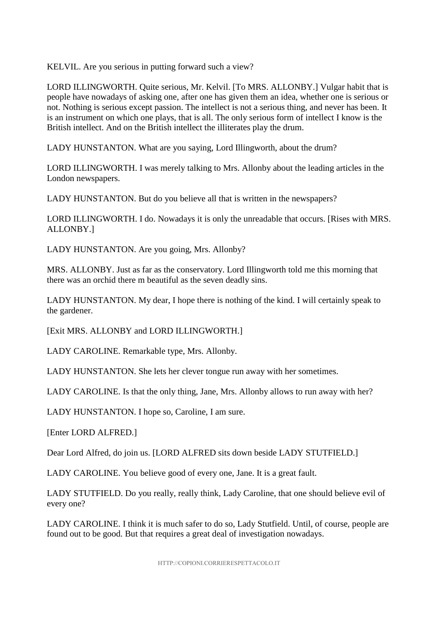KELVIL. Are you serious in putting forward such a view?

LORD ILLINGWORTH. Quite serious, Mr. Kelvil. [To MRS. ALLONBY.] Vulgar habit that is people have nowadays of asking one, after one has given them an idea, whether one is serious or not. Nothing is serious except passion. The intellect is not a serious thing, and never has been. It is an instrument on which one plays, that is all. The only serious form of intellect I know is the British intellect. And on the British intellect the illiterates play the drum.

LADY HUNSTANTON. What are you saying, Lord Illingworth, about the drum?

LORD ILLINGWORTH. I was merely talking to Mrs. Allonby about the leading articles in the London newspapers.

LADY HUNSTANTON. But do you believe all that is written in the newspapers?

LORD ILLINGWORTH. I do. Nowadays it is only the unreadable that occurs. [Rises with MRS. ALLONBY.]

LADY HUNSTANTON. Are you going, Mrs. Allonby?

MRS. ALLONBY. Just as far as the conservatory. Lord Illingworth told me this morning that there was an orchid there m beautiful as the seven deadly sins.

LADY HUNSTANTON. My dear, I hope there is nothing of the kind. I will certainly speak to the gardener.

[Exit MRS. ALLONBY and LORD ILLINGWORTH.]

LADY CAROLINE. Remarkable type, Mrs. Allonby.

LADY HUNSTANTON. She lets her clever tongue run away with her sometimes.

LADY CAROLINE. Is that the only thing, Jane, Mrs. Allonby allows to run away with her?

LADY HUNSTANTON. I hope so, Caroline, I am sure.

[Enter LORD ALFRED.]

Dear Lord Alfred, do join us. [LORD ALFRED sits down beside LADY STUTFIELD.]

LADY CAROLINE. You believe good of every one, Jane. It is a great fault.

LADY STUTFIELD. Do you really, really think, Lady Caroline, that one should believe evil of every one?

LADY CAROLINE. I think it is much safer to do so, Lady Stutfield. Until, of course, people are found out to be good. But that requires a great deal of investigation nowadays.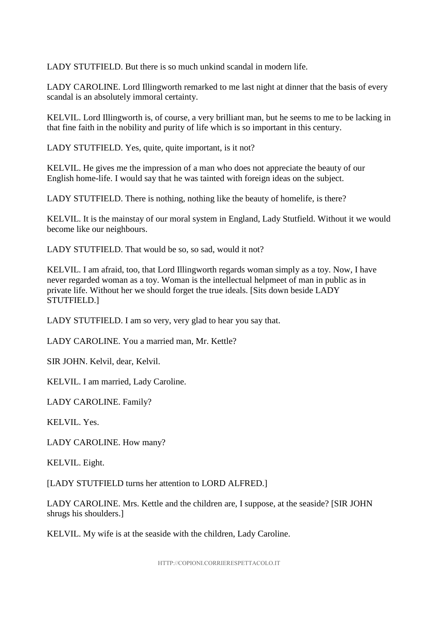LADY STUTFIELD. But there is so much unkind scandal in modern life.

LADY CAROLINE. Lord Illingworth remarked to me last night at dinner that the basis of every scandal is an absolutely immoral certainty.

KELVIL. Lord Illingworth is, of course, a very brilliant man, but he seems to me to be lacking in that fine faith in the nobility and purity of life which is so important in this century.

LADY STUTFIELD. Yes, quite, quite important, is it not?

KELVIL. He gives me the impression of a man who does not appreciate the beauty of our English home-life. I would say that he was tainted with foreign ideas on the subject.

LADY STUTFIELD. There is nothing, nothing like the beauty of homelife, is there?

KELVIL. It is the mainstay of our moral system in England, Lady Stutfield. Without it we would become like our neighbours.

LADY STUTFIELD. That would be so, so sad, would it not?

KELVIL. I am afraid, too, that Lord Illingworth regards woman simply as a toy. Now, I have never regarded woman as a toy. Woman is the intellectual helpmeet of man in public as in private life. Without her we should forget the true ideals. [Sits down beside LADY STUTFIELD.]

LADY STUTFIELD. I am so very, very glad to hear you say that.

LADY CAROLINE. You a married man, Mr. Kettle?

SIR JOHN. Kelvil, dear, Kelvil.

KELVIL. I am married, Lady Caroline.

LADY CAROLINE. Family?

KELVIL. Yes.

LADY CAROLINE. How many?

KELVIL. Eight.

[LADY STUTFIELD turns her attention to LORD ALFRED.]

LADY CAROLINE. Mrs. Kettle and the children are, I suppose, at the seaside? [SIR JOHN shrugs his shoulders.]

KELVIL. My wife is at the seaside with the children, Lady Caroline.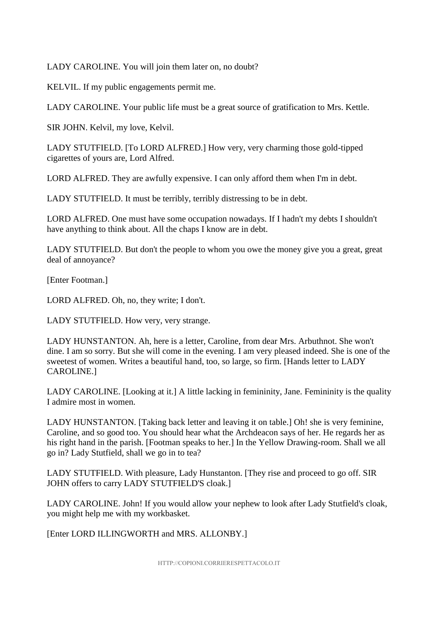LADY CAROLINE. You will join them later on, no doubt?

KELVIL. If my public engagements permit me.

LADY CAROLINE. Your public life must be a great source of gratification to Mrs. Kettle.

SIR JOHN. Kelvil, my love, Kelvil.

LADY STUTFIELD. [To LORD ALFRED.] How very, very charming those gold-tipped cigarettes of yours are, Lord Alfred.

LORD ALFRED. They are awfully expensive. I can only afford them when I'm in debt.

LADY STUTFIELD. It must be terribly, terribly distressing to be in debt.

LORD ALFRED. One must have some occupation nowadays. If I hadn't my debts I shouldn't have anything to think about. All the chaps I know are in debt.

LADY STUTFIELD. But don't the people to whom you owe the money give you a great, great deal of annoyance?

[Enter Footman.]

LORD ALFRED. Oh, no, they write; I don't.

LADY STUTFIELD. How very, very strange.

LADY HUNSTANTON. Ah, here is a letter, Caroline, from dear Mrs. Arbuthnot. She won't dine. I am so sorry. But she will come in the evening. I am very pleased indeed. She is one of the sweetest of women. Writes a beautiful hand, too, so large, so firm. [Hands letter to LADY CAROLINE.]

LADY CAROLINE. [Looking at it.] A little lacking in femininity, Jane. Femininity is the quality I admire most in women.

LADY HUNSTANTON. [Taking back letter and leaving it on table.] Oh! she is very feminine, Caroline, and so good too. You should hear what the Archdeacon says of her. He regards her as his right hand in the parish. [Footman speaks to her.] In the Yellow Drawing-room. Shall we all go in? Lady Stutfield, shall we go in to tea?

LADY STUTFIELD. With pleasure, Lady Hunstanton. [They rise and proceed to go off. SIR JOHN offers to carry LADY STUTFIELD'S cloak.]

LADY CAROLINE. John! If you would allow your nephew to look after Lady Stutfield's cloak, you might help me with my workbasket.

[Enter LORD ILLINGWORTH and MRS. ALLONBY.]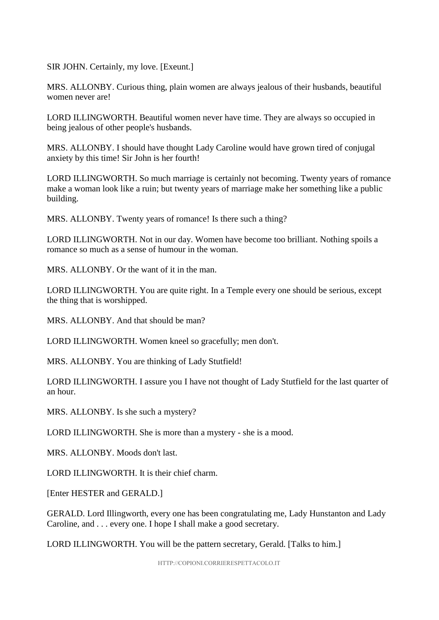SIR JOHN. Certainly, my love. [Exeunt.]

MRS. ALLONBY. Curious thing, plain women are always jealous of their husbands, beautiful women never are!

LORD ILLINGWORTH. Beautiful women never have time. They are always so occupied in being jealous of other people's husbands.

MRS. ALLONBY. I should have thought Lady Caroline would have grown tired of conjugal anxiety by this time! Sir John is her fourth!

LORD ILLINGWORTH. So much marriage is certainly not becoming. Twenty years of romance make a woman look like a ruin; but twenty years of marriage make her something like a public building.

MRS. ALLONBY. Twenty years of romance! Is there such a thing?

LORD ILLINGWORTH. Not in our day. Women have become too brilliant. Nothing spoils a romance so much as a sense of humour in the woman.

MRS. ALLONBY. Or the want of it in the man.

LORD ILLINGWORTH. You are quite right. In a Temple every one should be serious, except the thing that is worshipped.

MRS. ALLONBY. And that should be man?

LORD ILLINGWORTH. Women kneel so gracefully; men don't.

MRS. ALLONBY. You are thinking of Lady Stutfield!

LORD ILLINGWORTH. I assure you I have not thought of Lady Stutfield for the last quarter of an hour.

MRS. ALLONBY. Is she such a mystery?

LORD ILLINGWORTH. She is more than a mystery - she is a mood.

MRS. ALLONBY. Moods don't last.

LORD ILLINGWORTH. It is their chief charm.

[Enter HESTER and GERALD.]

GERALD. Lord Illingworth, every one has been congratulating me, Lady Hunstanton and Lady Caroline, and . . . every one. I hope I shall make a good secretary.

LORD ILLINGWORTH. You will be the pattern secretary, Gerald. [Talks to him.]

HTTP://COPIONI.CORRIERESPETTACOLO.IT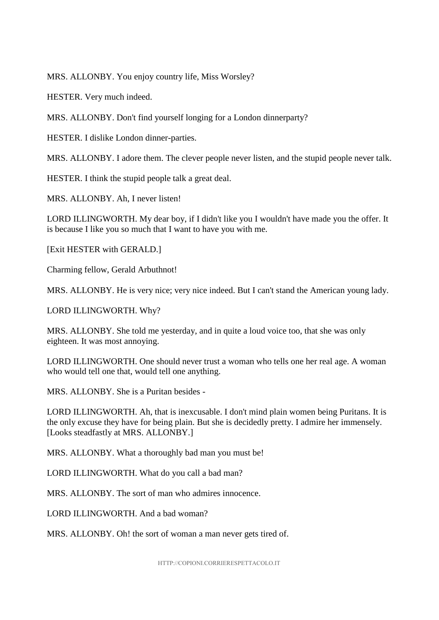MRS. ALLONBY. You enjoy country life, Miss Worsley?

HESTER. Very much indeed.

MRS. ALLONBY. Don't find yourself longing for a London dinnerparty?

HESTER. I dislike London dinner-parties.

MRS. ALLONBY. I adore them. The clever people never listen, and the stupid people never talk.

HESTER. I think the stupid people talk a great deal.

MRS. ALLONBY. Ah, I never listen!

LORD ILLINGWORTH. My dear boy, if I didn't like you I wouldn't have made you the offer. It is because I like you so much that I want to have you with me.

[Exit HESTER with GERALD.]

Charming fellow, Gerald Arbuthnot!

MRS. ALLONBY. He is very nice; very nice indeed. But I can't stand the American young lady.

LORD ILLINGWORTH. Why?

MRS. ALLONBY. She told me yesterday, and in quite a loud voice too, that she was only eighteen. It was most annoying.

LORD ILLINGWORTH. One should never trust a woman who tells one her real age. A woman who would tell one that, would tell one anything.

MRS. ALLONBY. She is a Puritan besides -

LORD ILLINGWORTH. Ah, that is inexcusable. I don't mind plain women being Puritans. It is the only excuse they have for being plain. But she is decidedly pretty. I admire her immensely. [Looks steadfastly at MRS. ALLONBY.]

MRS. ALLONBY. What a thoroughly bad man you must be!

LORD ILLINGWORTH. What do you call a bad man?

MRS. ALLONBY. The sort of man who admires innocence.

LORD ILLINGWORTH. And a bad woman?

MRS. ALLONBY. Oh! the sort of woman a man never gets tired of.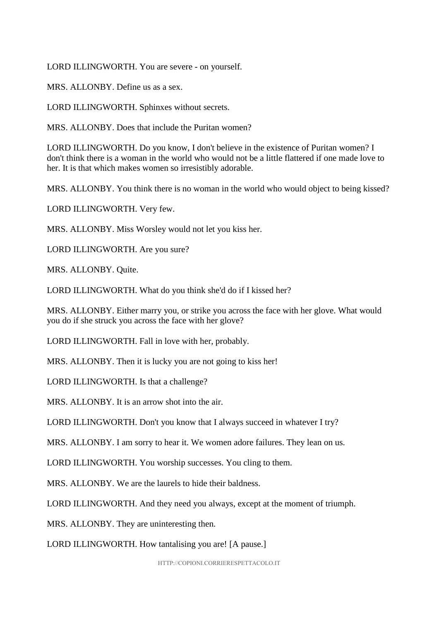LORD ILLINGWORTH. You are severe - on yourself.

MRS. ALLONBY. Define us as a sex.

LORD ILLINGWORTH. Sphinxes without secrets.

MRS. ALLONBY. Does that include the Puritan women?

LORD ILLINGWORTH. Do you know, I don't believe in the existence of Puritan women? I don't think there is a woman in the world who would not be a little flattered if one made love to her. It is that which makes women so irresistibly adorable.

MRS. ALLONBY. You think there is no woman in the world who would object to being kissed?

LORD ILLINGWORTH. Very few.

MRS. ALLONBY. Miss Worsley would not let you kiss her.

LORD ILLINGWORTH. Are you sure?

MRS. ALLONBY. Quite.

LORD ILLINGWORTH. What do you think she'd do if I kissed her?

MRS. ALLONBY. Either marry you, or strike you across the face with her glove. What would you do if she struck you across the face with her glove?

LORD ILLINGWORTH. Fall in love with her, probably.

MRS. ALLONBY. Then it is lucky you are not going to kiss her!

LORD ILLINGWORTH. Is that a challenge?

MRS. ALLONBY. It is an arrow shot into the air.

LORD ILLINGWORTH. Don't you know that I always succeed in whatever I try?

MRS. ALLONBY. I am sorry to hear it. We women adore failures. They lean on us.

LORD ILLINGWORTH. You worship successes. You cling to them.

MRS. ALLONBY. We are the laurels to hide their baldness.

LORD ILLINGWORTH. And they need you always, except at the moment of triumph.

MRS. ALLONBY. They are uninteresting then.

LORD ILLINGWORTH. How tantalising you are! [A pause.]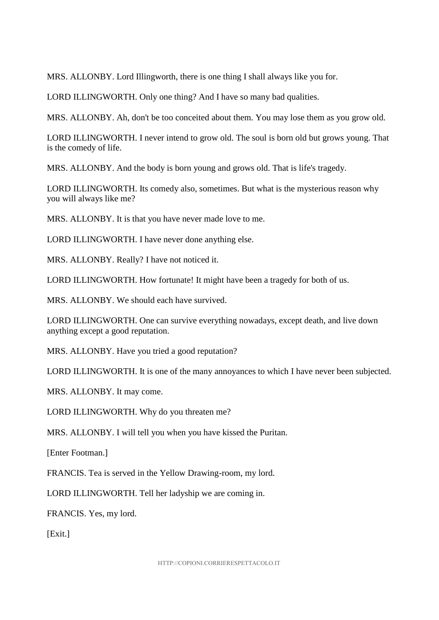MRS. ALLONBY. Lord Illingworth, there is one thing I shall always like you for.

LORD ILLINGWORTH. Only one thing? And I have so many bad qualities.

MRS. ALLONBY. Ah, don't be too conceited about them. You may lose them as you grow old.

LORD ILLINGWORTH. I never intend to grow old. The soul is born old but grows young. That is the comedy of life.

MRS. ALLONBY. And the body is born young and grows old. That is life's tragedy.

LORD ILLINGWORTH. Its comedy also, sometimes. But what is the mysterious reason why you will always like me?

MRS. ALLONBY. It is that you have never made love to me.

LORD ILLINGWORTH. I have never done anything else.

MRS. ALLONBY. Really? I have not noticed it.

LORD ILLINGWORTH. How fortunate! It might have been a tragedy for both of us.

MRS. ALLONBY. We should each have survived.

LORD ILLINGWORTH. One can survive everything nowadays, except death, and live down anything except a good reputation.

MRS. ALLONBY. Have you tried a good reputation?

LORD ILLINGWORTH. It is one of the many annoyances to which I have never been subjected.

MRS. ALLONBY. It may come.

LORD ILLINGWORTH. Why do you threaten me?

MRS. ALLONBY. I will tell you when you have kissed the Puritan.

[Enter Footman.]

FRANCIS. Tea is served in the Yellow Drawing-room, my lord.

LORD ILLINGWORTH. Tell her ladyship we are coming in.

FRANCIS. Yes, my lord.

[Exit.]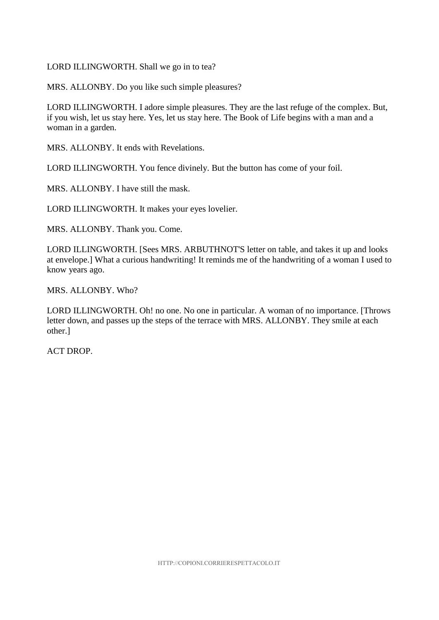#### LORD ILLINGWORTH. Shall we go in to tea?

MRS. ALLONBY. Do you like such simple pleasures?

LORD ILLINGWORTH. I adore simple pleasures. They are the last refuge of the complex. But, if you wish, let us stay here. Yes, let us stay here. The Book of Life begins with a man and a woman in a garden.

MRS. ALLONBY. It ends with Revelations.

LORD ILLINGWORTH. You fence divinely. But the button has come of your foil.

MRS. ALLONBY. I have still the mask.

LORD ILLINGWORTH. It makes your eyes lovelier.

MRS. ALLONBY. Thank you. Come.

LORD ILLINGWORTH. [Sees MRS. ARBUTHNOT'S letter on table, and takes it up and looks at envelope.] What a curious handwriting! It reminds me of the handwriting of a woman I used to know years ago.

MRS. ALLONBY. Who?

LORD ILLINGWORTH. Oh! no one. No one in particular. A woman of no importance. [Throws letter down, and passes up the steps of the terrace with MRS. ALLONBY. They smile at each other.]

ACT DROP.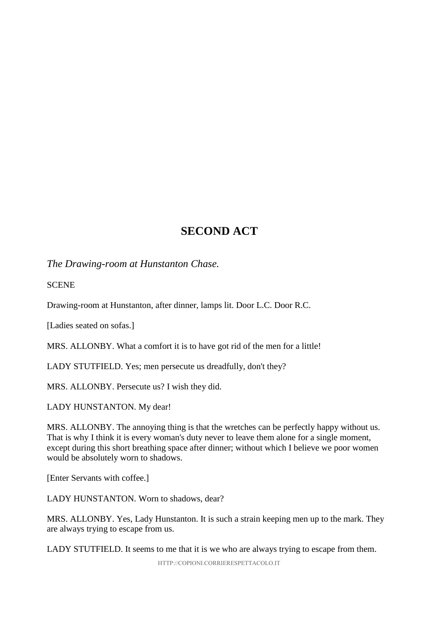# **SECOND ACT**

*The Drawing-room at Hunstanton Chase.*

**SCENE** 

Drawing-room at Hunstanton, after dinner, lamps lit. Door L.C. Door R.C.

[Ladies seated on sofas.]

MRS. ALLONBY. What a comfort it is to have got rid of the men for a little!

LADY STUTFIELD. Yes; men persecute us dreadfully, don't they?

MRS. ALLONBY. Persecute us? I wish they did.

LADY HUNSTANTON. My dear!

MRS. ALLONBY. The annoying thing is that the wretches can be perfectly happy without us. That is why I think it is every woman's duty never to leave them alone for a single moment, except during this short breathing space after dinner; without which I believe we poor women would be absolutely worn to shadows.

[Enter Servants with coffee.]

LADY HUNSTANTON. Worn to shadows, dear?

MRS. ALLONBY. Yes, Lady Hunstanton. It is such a strain keeping men up to the mark. They are always trying to escape from us.

LADY STUTFIELD. It seems to me that it is we who are always trying to escape from them.

HTTP://COPIONI.CORRIERESPETTACOLO.IT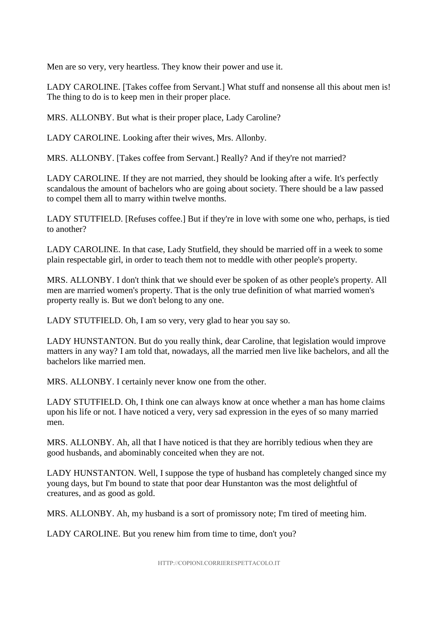Men are so very, very heartless. They know their power and use it.

LADY CAROLINE. [Takes coffee from Servant.] What stuff and nonsense all this about men is! The thing to do is to keep men in their proper place.

MRS. ALLONBY. But what is their proper place, Lady Caroline?

LADY CAROLINE. Looking after their wives, Mrs. Allonby.

MRS. ALLONBY. [Takes coffee from Servant.] Really? And if they're not married?

LADY CAROLINE. If they are not married, they should be looking after a wife. It's perfectly scandalous the amount of bachelors who are going about society. There should be a law passed to compel them all to marry within twelve months.

LADY STUTFIELD. [Refuses coffee.] But if they're in love with some one who, perhaps, is tied to another?

LADY CAROLINE. In that case, Lady Stutfield, they should be married off in a week to some plain respectable girl, in order to teach them not to meddle with other people's property.

MRS. ALLONBY. I don't think that we should ever be spoken of as other people's property. All men are married women's property. That is the only true definition of what married women's property really is. But we don't belong to any one.

LADY STUTFIELD. Oh, I am so very, very glad to hear you say so.

LADY HUNSTANTON. But do you really think, dear Caroline, that legislation would improve matters in any way? I am told that, nowadays, all the married men live like bachelors, and all the bachelors like married men.

MRS. ALLONBY. I certainly never know one from the other.

LADY STUTFIELD. Oh, I think one can always know at once whether a man has home claims upon his life or not. I have noticed a very, very sad expression in the eyes of so many married men.

MRS. ALLONBY. Ah, all that I have noticed is that they are horribly tedious when they are good husbands, and abominably conceited when they are not.

LADY HUNSTANTON. Well, I suppose the type of husband has completely changed since my young days, but I'm bound to state that poor dear Hunstanton was the most delightful of creatures, and as good as gold.

MRS. ALLONBY. Ah, my husband is a sort of promissory note; I'm tired of meeting him.

LADY CAROLINE. But you renew him from time to time, don't you?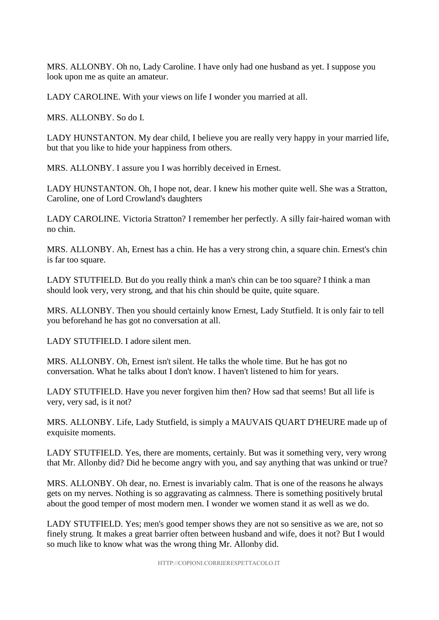MRS. ALLONBY. Oh no, Lady Caroline. I have only had one husband as yet. I suppose you look upon me as quite an amateur.

LADY CAROLINE. With your views on life I wonder you married at all.

MRS. ALLONBY. So do I.

LADY HUNSTANTON. My dear child, I believe you are really very happy in your married life, but that you like to hide your happiness from others.

MRS. ALLONBY. I assure you I was horribly deceived in Ernest.

LADY HUNSTANTON. Oh, I hope not, dear. I knew his mother quite well. She was a Stratton, Caroline, one of Lord Crowland's daughters

LADY CAROLINE. Victoria Stratton? I remember her perfectly. A silly fair-haired woman with no chin.

MRS. ALLONBY. Ah, Ernest has a chin. He has a very strong chin, a square chin. Ernest's chin is far too square.

LADY STUTFIELD. But do you really think a man's chin can be too square? I think a man should look very, very strong, and that his chin should be quite, quite square.

MRS. ALLONBY. Then you should certainly know Ernest, Lady Stutfield. It is only fair to tell you beforehand he has got no conversation at all.

LADY STUTFIELD. I adore silent men.

MRS. ALLONBY. Oh, Ernest isn't silent. He talks the whole time. But he has got no conversation. What he talks about I don't know. I haven't listened to him for years.

LADY STUTFIELD. Have you never forgiven him then? How sad that seems! But all life is very, very sad, is it not?

MRS. ALLONBY. Life, Lady Stutfield, is simply a MAUVAIS QUART D'HEURE made up of exquisite moments.

LADY STUTFIELD. Yes, there are moments, certainly. But was it something very, very wrong that Mr. Allonby did? Did he become angry with you, and say anything that was unkind or true?

MRS. ALLONBY. Oh dear, no. Ernest is invariably calm. That is one of the reasons he always gets on my nerves. Nothing is so aggravating as calmness. There is something positively brutal about the good temper of most modern men. I wonder we women stand it as well as we do.

LADY STUTFIELD. Yes; men's good temper shows they are not so sensitive as we are, not so finely strung. It makes a great barrier often between husband and wife, does it not? But I would so much like to know what was the wrong thing Mr. Allonby did.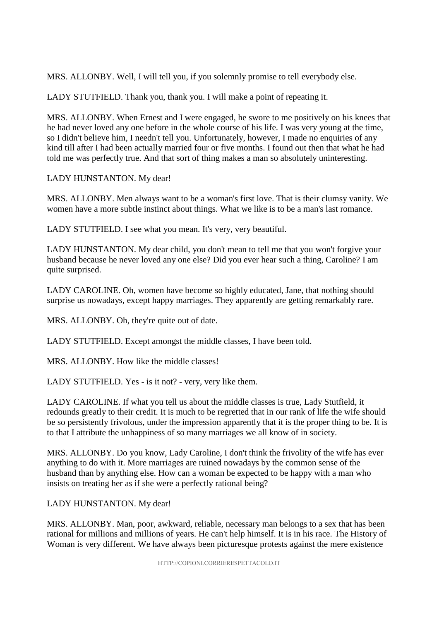MRS. ALLONBY. Well, I will tell you, if you solemnly promise to tell everybody else.

LADY STUTFIELD. Thank you, thank you. I will make a point of repeating it.

MRS. ALLONBY. When Ernest and I were engaged, he swore to me positively on his knees that he had never loved any one before in the whole course of his life. I was very young at the time, so I didn't believe him, I needn't tell you. Unfortunately, however, I made no enquiries of any kind till after I had been actually married four or five months. I found out then that what he had told me was perfectly true. And that sort of thing makes a man so absolutely uninteresting.

LADY HUNSTANTON. My dear!

MRS. ALLONBY. Men always want to be a woman's first love. That is their clumsy vanity. We women have a more subtle instinct about things. What we like is to be a man's last romance.

LADY STUTFIELD. I see what you mean. It's very, very beautiful.

LADY HUNSTANTON. My dear child, you don't mean to tell me that you won't forgive your husband because he never loved any one else? Did you ever hear such a thing, Caroline? I am quite surprised.

LADY CAROLINE. Oh, women have become so highly educated, Jane, that nothing should surprise us nowadays, except happy marriages. They apparently are getting remarkably rare.

MRS. ALLONBY. Oh, they're quite out of date.

LADY STUTFIELD. Except amongst the middle classes, I have been told.

MRS. ALLONBY. How like the middle classes!

LADY STUTFIELD. Yes - is it not? - very, very like them.

LADY CAROLINE. If what you tell us about the middle classes is true, Lady Stutfield, it redounds greatly to their credit. It is much to be regretted that in our rank of life the wife should be so persistently frivolous, under the impression apparently that it is the proper thing to be. It is to that I attribute the unhappiness of so many marriages we all know of in society.

MRS. ALLONBY. Do you know, Lady Caroline, I don't think the frivolity of the wife has ever anything to do with it. More marriages are ruined nowadays by the common sense of the husband than by anything else. How can a woman be expected to be happy with a man who insists on treating her as if she were a perfectly rational being?

LADY HUNSTANTON. My dear!

MRS. ALLONBY. Man, poor, awkward, reliable, necessary man belongs to a sex that has been rational for millions and millions of years. He can't help himself. It is in his race. The History of Woman is very different. We have always been picturesque protests against the mere existence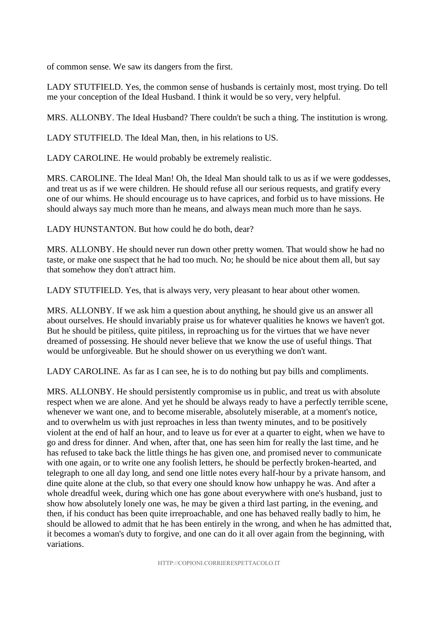of common sense. We saw its dangers from the first.

LADY STUTFIELD. Yes, the common sense of husbands is certainly most, most trying. Do tell me your conception of the Ideal Husband. I think it would be so very, very helpful.

MRS. ALLONBY. The Ideal Husband? There couldn't be such a thing. The institution is wrong.

LADY STUTFIELD. The Ideal Man, then, in his relations to US.

LADY CAROLINE. He would probably be extremely realistic.

MRS. CAROLINE. The Ideal Man! Oh, the Ideal Man should talk to us as if we were goddesses, and treat us as if we were children. He should refuse all our serious requests, and gratify every one of our whims. He should encourage us to have caprices, and forbid us to have missions. He should always say much more than he means, and always mean much more than he says.

LADY HUNSTANTON. But how could he do both, dear?

MRS. ALLONBY. He should never run down other pretty women. That would show he had no taste, or make one suspect that he had too much. No; he should be nice about them all, but say that somehow they don't attract him.

LADY STUTFIELD. Yes, that is always very, very pleasant to hear about other women.

MRS. ALLONBY. If we ask him a question about anything, he should give us an answer all about ourselves. He should invariably praise us for whatever qualities he knows we haven't got. But he should be pitiless, quite pitiless, in reproaching us for the virtues that we have never dreamed of possessing. He should never believe that we know the use of useful things. That would be unforgiveable. But he should shower on us everything we don't want.

LADY CAROLINE. As far as I can see, he is to do nothing but pay bills and compliments.

MRS. ALLONBY. He should persistently compromise us in public, and treat us with absolute respect when we are alone. And yet he should be always ready to have a perfectly terrible scene, whenever we want one, and to become miserable, absolutely miserable, at a moment's notice, and to overwhelm us with just reproaches in less than twenty minutes, and to be positively violent at the end of half an hour, and to leave us for ever at a quarter to eight, when we have to go and dress for dinner. And when, after that, one has seen him for really the last time, and he has refused to take back the little things he has given one, and promised never to communicate with one again, or to write one any foolish letters, he should be perfectly broken-hearted, and telegraph to one all day long, and send one little notes every half-hour by a private hansom, and dine quite alone at the club, so that every one should know how unhappy he was. And after a whole dreadful week, during which one has gone about everywhere with one's husband, just to show how absolutely lonely one was, he may be given a third last parting, in the evening, and then, if his conduct has been quite irreproachable, and one has behaved really badly to him, he should be allowed to admit that he has been entirely in the wrong, and when he has admitted that, it becomes a woman's duty to forgive, and one can do it all over again from the beginning, with variations.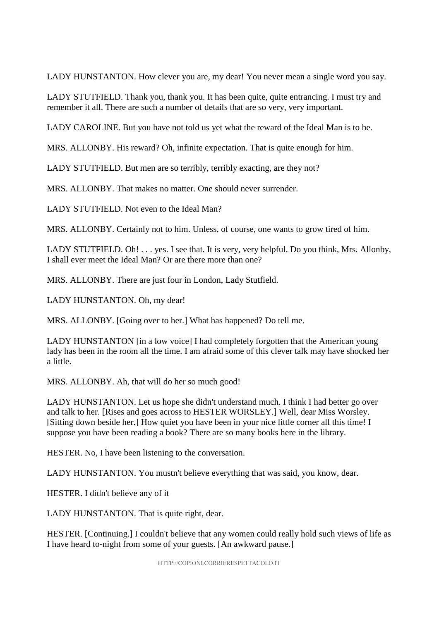LADY HUNSTANTON. How clever you are, my dear! You never mean a single word you say.

LADY STUTFIELD. Thank you, thank you. It has been quite, quite entrancing. I must try and remember it all. There are such a number of details that are so very, very important.

LADY CAROLINE. But you have not told us yet what the reward of the Ideal Man is to be.

MRS. ALLONBY. His reward? Oh, infinite expectation. That is quite enough for him.

LADY STUTFIELD. But men are so terribly, terribly exacting, are they not?

MRS. ALLONBY. That makes no matter. One should never surrender.

LADY STUTFIELD. Not even to the Ideal Man?

MRS. ALLONBY. Certainly not to him. Unless, of course, one wants to grow tired of him.

LADY STUTFIELD. Oh! . . . yes. I see that. It is very, very helpful. Do you think, Mrs. Allonby, I shall ever meet the Ideal Man? Or are there more than one?

MRS. ALLONBY. There are just four in London, Lady Stutfield.

LADY HUNSTANTON. Oh, my dear!

MRS. ALLONBY. [Going over to her.] What has happened? Do tell me.

LADY HUNSTANTON [in a low voice] I had completely forgotten that the American young lady has been in the room all the time. I am afraid some of this clever talk may have shocked her a little.

MRS. ALLONBY. Ah, that will do her so much good!

LADY HUNSTANTON. Let us hope she didn't understand much. I think I had better go over and talk to her. [Rises and goes across to HESTER WORSLEY.] Well, dear Miss Worsley. [Sitting down beside her.] How quiet you have been in your nice little corner all this time! I suppose you have been reading a book? There are so many books here in the library.

HESTER. No, I have been listening to the conversation.

LADY HUNSTANTON. You mustn't believe everything that was said, you know, dear.

HESTER. I didn't believe any of it

LADY HUNSTANTON. That is quite right, dear.

HESTER. [Continuing.] I couldn't believe that any women could really hold such views of life as I have heard to-night from some of your guests. [An awkward pause.]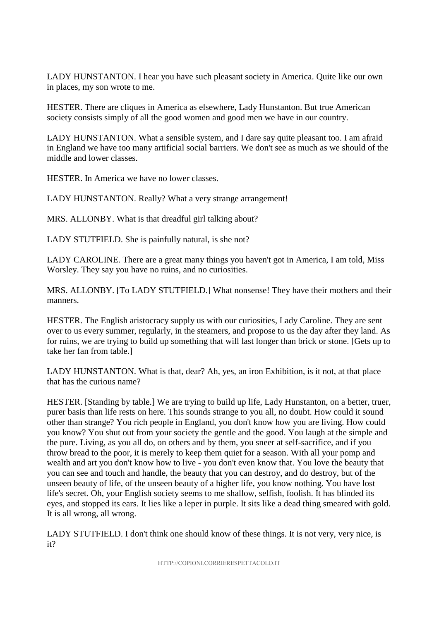LADY HUNSTANTON. I hear you have such pleasant society in America. Quite like our own in places, my son wrote to me.

HESTER. There are cliques in America as elsewhere, Lady Hunstanton. But true American society consists simply of all the good women and good men we have in our country.

LADY HUNSTANTON. What a sensible system, and I dare say quite pleasant too. I am afraid in England we have too many artificial social barriers. We don't see as much as we should of the middle and lower classes.

HESTER. In America we have no lower classes.

LADY HUNSTANTON. Really? What a very strange arrangement!

MRS. ALLONBY. What is that dreadful girl talking about?

LADY STUTFIELD. She is painfully natural, is she not?

LADY CAROLINE. There are a great many things you haven't got in America, I am told, Miss Worsley. They say you have no ruins, and no curiosities.

MRS. ALLONBY. [To LADY STUTFIELD.] What nonsense! They have their mothers and their manners.

HESTER. The English aristocracy supply us with our curiosities, Lady Caroline. They are sent over to us every summer, regularly, in the steamers, and propose to us the day after they land. As for ruins, we are trying to build up something that will last longer than brick or stone. [Gets up to take her fan from table.]

LADY HUNSTANTON. What is that, dear? Ah, yes, an iron Exhibition, is it not, at that place that has the curious name?

HESTER. [Standing by table.] We are trying to build up life, Lady Hunstanton, on a better, truer, purer basis than life rests on here. This sounds strange to you all, no doubt. How could it sound other than strange? You rich people in England, you don't know how you are living. How could you know? You shut out from your society the gentle and the good. You laugh at the simple and the pure. Living, as you all do, on others and by them, you sneer at self-sacrifice, and if you throw bread to the poor, it is merely to keep them quiet for a season. With all your pomp and wealth and art you don't know how to live - you don't even know that. You love the beauty that you can see and touch and handle, the beauty that you can destroy, and do destroy, but of the unseen beauty of life, of the unseen beauty of a higher life, you know nothing. You have lost life's secret. Oh, your English society seems to me shallow, selfish, foolish. It has blinded its eyes, and stopped its ears. It lies like a leper in purple. It sits like a dead thing smeared with gold. It is all wrong, all wrong.

LADY STUTFIELD. I don't think one should know of these things. It is not very, very nice, is it?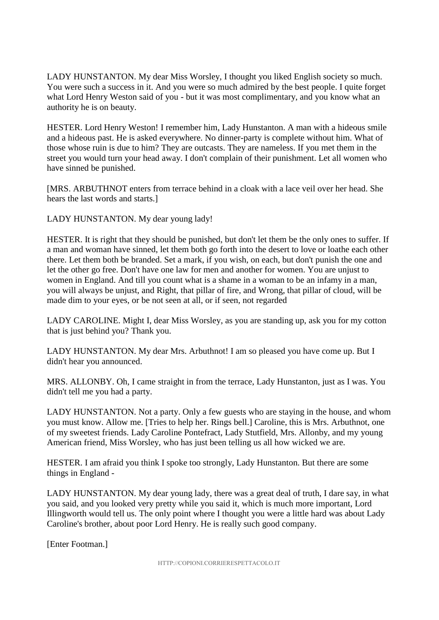LADY HUNSTANTON. My dear Miss Worsley, I thought you liked English society so much. You were such a success in it. And you were so much admired by the best people. I quite forget what Lord Henry Weston said of you - but it was most complimentary, and you know what an authority he is on beauty.

HESTER. Lord Henry Weston! I remember him, Lady Hunstanton. A man with a hideous smile and a hideous past. He is asked everywhere. No dinner-party is complete without him. What of those whose ruin is due to him? They are outcasts. They are nameless. If you met them in the street you would turn your head away. I don't complain of their punishment. Let all women who have sinned be punished.

[MRS. ARBUTHNOT enters from terrace behind in a cloak with a lace veil over her head. She hears the last words and starts.]

LADY HUNSTANTON. My dear young lady!

HESTER. It is right that they should be punished, but don't let them be the only ones to suffer. If a man and woman have sinned, let them both go forth into the desert to love or loathe each other there. Let them both be branded. Set a mark, if you wish, on each, but don't punish the one and let the other go free. Don't have one law for men and another for women. You are unjust to women in England. And till you count what is a shame in a woman to be an infamy in a man, you will always be unjust, and Right, that pillar of fire, and Wrong, that pillar of cloud, will be made dim to your eyes, or be not seen at all, or if seen, not regarded

LADY CAROLINE. Might I, dear Miss Worsley, as you are standing up, ask you for my cotton that is just behind you? Thank you.

LADY HUNSTANTON. My dear Mrs. Arbuthnot! I am so pleased you have come up. But I didn't hear you announced.

MRS. ALLONBY. Oh, I came straight in from the terrace, Lady Hunstanton, just as I was. You didn't tell me you had a party.

LADY HUNSTANTON. Not a party. Only a few guests who are staying in the house, and whom you must know. Allow me. [Tries to help her. Rings bell.] Caroline, this is Mrs. Arbuthnot, one of my sweetest friends. Lady Caroline Pontefract, Lady Stutfield, Mrs. Allonby, and my young American friend, Miss Worsley, who has just been telling us all how wicked we are.

HESTER. I am afraid you think I spoke too strongly, Lady Hunstanton. But there are some things in England -

LADY HUNSTANTON. My dear young lady, there was a great deal of truth, I dare say, in what you said, and you looked very pretty while you said it, which is much more important, Lord Illingworth would tell us. The only point where I thought you were a little hard was about Lady Caroline's brother, about poor Lord Henry. He is really such good company.

[Enter Footman.]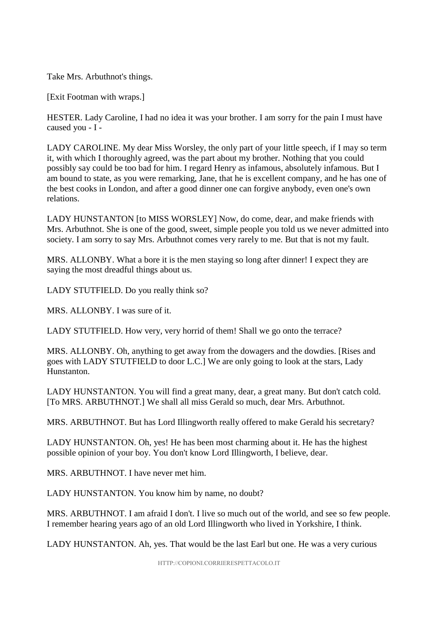Take Mrs. Arbuthnot's things.

[Exit Footman with wraps.]

HESTER. Lady Caroline, I had no idea it was your brother. I am sorry for the pain I must have caused you - I -

LADY CAROLINE. My dear Miss Worsley, the only part of your little speech, if I may so term it, with which I thoroughly agreed, was the part about my brother. Nothing that you could possibly say could be too bad for him. I regard Henry as infamous, absolutely infamous. But I am bound to state, as you were remarking, Jane, that he is excellent company, and he has one of the best cooks in London, and after a good dinner one can forgive anybody, even one's own relations.

LADY HUNSTANTON [to MISS WORSLEY] Now, do come, dear, and make friends with Mrs. Arbuthnot. She is one of the good, sweet, simple people you told us we never admitted into society. I am sorry to say Mrs. Arbuthnot comes very rarely to me. But that is not my fault.

MRS. ALLONBY. What a bore it is the men staying so long after dinner! I expect they are saying the most dreadful things about us.

LADY STUTFIELD. Do you really think so?

MRS. ALLONBY. I was sure of it.

LADY STUTFIELD. How very, very horrid of them! Shall we go onto the terrace?

MRS. ALLONBY. Oh, anything to get away from the dowagers and the dowdies. [Rises and goes with LADY STUTFIELD to door L.C.] We are only going to look at the stars, Lady Hunstanton.

LADY HUNSTANTON. You will find a great many, dear, a great many. But don't catch cold. [To MRS. ARBUTHNOT.] We shall all miss Gerald so much, dear Mrs. Arbuthnot.

MRS. ARBUTHNOT. But has Lord Illingworth really offered to make Gerald his secretary?

LADY HUNSTANTON. Oh, yes! He has been most charming about it. He has the highest possible opinion of your boy. You don't know Lord Illingworth, I believe, dear.

MRS. ARBUTHNOT. I have never met him.

LADY HUNSTANTON. You know him by name, no doubt?

MRS. ARBUTHNOT. I am afraid I don't. I live so much out of the world, and see so few people. I remember hearing years ago of an old Lord Illingworth who lived in Yorkshire, I think.

LADY HUNSTANTON. Ah, yes. That would be the last Earl but one. He was a very curious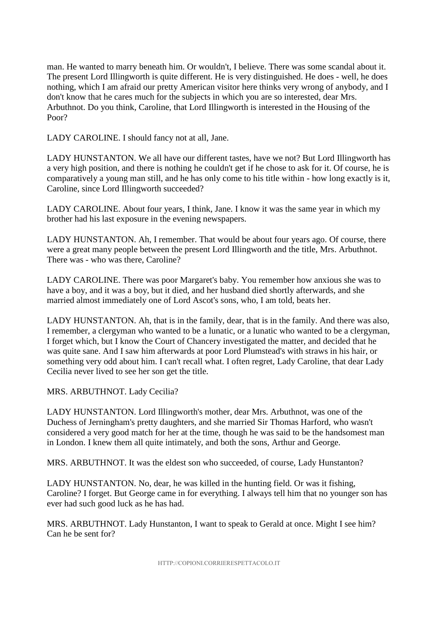man. He wanted to marry beneath him. Or wouldn't, I believe. There was some scandal about it. The present Lord Illingworth is quite different. He is very distinguished. He does - well, he does nothing, which I am afraid our pretty American visitor here thinks very wrong of anybody, and I don't know that he cares much for the subjects in which you are so interested, dear Mrs. Arbuthnot. Do you think, Caroline, that Lord Illingworth is interested in the Housing of the Poor?

LADY CAROLINE. I should fancy not at all, Jane.

LADY HUNSTANTON. We all have our different tastes, have we not? But Lord Illingworth has a very high position, and there is nothing he couldn't get if he chose to ask for it. Of course, he is comparatively a young man still, and he has only come to his title within - how long exactly is it, Caroline, since Lord Illingworth succeeded?

LADY CAROLINE. About four years, I think, Jane. I know it was the same year in which my brother had his last exposure in the evening newspapers.

LADY HUNSTANTON. Ah, I remember. That would be about four years ago. Of course, there were a great many people between the present Lord Illingworth and the title, Mrs. Arbuthnot. There was - who was there, Caroline?

LADY CAROLINE. There was poor Margaret's baby. You remember how anxious she was to have a boy, and it was a boy, but it died, and her husband died shortly afterwards, and she married almost immediately one of Lord Ascot's sons, who, I am told, beats her.

LADY HUNSTANTON. Ah, that is in the family, dear, that is in the family. And there was also, I remember, a clergyman who wanted to be a lunatic, or a lunatic who wanted to be a clergyman, I forget which, but I know the Court of Chancery investigated the matter, and decided that he was quite sane. And I saw him afterwards at poor Lord Plumstead's with straws in his hair, or something very odd about him. I can't recall what. I often regret, Lady Caroline, that dear Lady Cecilia never lived to see her son get the title.

MRS. ARBUTHNOT. Lady Cecilia?

LADY HUNSTANTON. Lord Illingworth's mother, dear Mrs. Arbuthnot, was one of the Duchess of Jerningham's pretty daughters, and she married Sir Thomas Harford, who wasn't considered a very good match for her at the time, though he was said to be the handsomest man in London. I knew them all quite intimately, and both the sons, Arthur and George.

MRS. ARBUTHNOT. It was the eldest son who succeeded, of course, Lady Hunstanton?

LADY HUNSTANTON. No, dear, he was killed in the hunting field. Or was it fishing, Caroline? I forget. But George came in for everything. I always tell him that no younger son has ever had such good luck as he has had.

MRS. ARBUTHNOT. Lady Hunstanton, I want to speak to Gerald at once. Might I see him? Can he be sent for?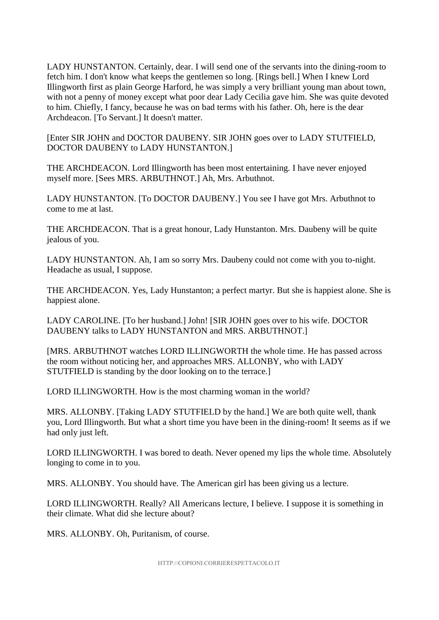LADY HUNSTANTON. Certainly, dear. I will send one of the servants into the dining-room to fetch him. I don't know what keeps the gentlemen so long. [Rings bell.] When I knew Lord Illingworth first as plain George Harford, he was simply a very brilliant young man about town, with not a penny of money except what poor dear Lady Cecilia gave him. She was quite devoted to him. Chiefly, I fancy, because he was on bad terms with his father. Oh, here is the dear Archdeacon. [To Servant.] It doesn't matter.

[Enter SIR JOHN and DOCTOR DAUBENY. SIR JOHN goes over to LADY STUTFIELD, DOCTOR DAUBENY to LADY HUNSTANTON.]

THE ARCHDEACON. Lord Illingworth has been most entertaining. I have never enjoyed myself more. [Sees MRS. ARBUTHNOT.] Ah, Mrs. Arbuthnot.

LADY HUNSTANTON. [To DOCTOR DAUBENY.] You see I have got Mrs. Arbuthnot to come to me at last.

THE ARCHDEACON. That is a great honour, Lady Hunstanton. Mrs. Daubeny will be quite jealous of you.

LADY HUNSTANTON. Ah, I am so sorry Mrs. Daubeny could not come with you to-night. Headache as usual, I suppose.

THE ARCHDEACON. Yes, Lady Hunstanton; a perfect martyr. But she is happiest alone. She is happiest alone.

LADY CAROLINE. [To her husband.] John! [SIR JOHN goes over to his wife. DOCTOR DAUBENY talks to LADY HUNSTANTON and MRS. ARBUTHNOT.]

[MRS. ARBUTHNOT watches LORD ILLINGWORTH the whole time. He has passed across the room without noticing her, and approaches MRS. ALLONBY, who with LADY STUTFIELD is standing by the door looking on to the terrace.]

LORD ILLINGWORTH. How is the most charming woman in the world?

MRS. ALLONBY. [Taking LADY STUTFIELD by the hand.] We are both quite well, thank you, Lord Illingworth. But what a short time you have been in the dining-room! It seems as if we had only just left.

LORD ILLINGWORTH. I was bored to death. Never opened my lips the whole time. Absolutely longing to come in to you.

MRS. ALLONBY. You should have. The American girl has been giving us a lecture.

LORD ILLINGWORTH. Really? All Americans lecture, I believe. I suppose it is something in their climate. What did she lecture about?

MRS. ALLONBY. Oh, Puritanism, of course.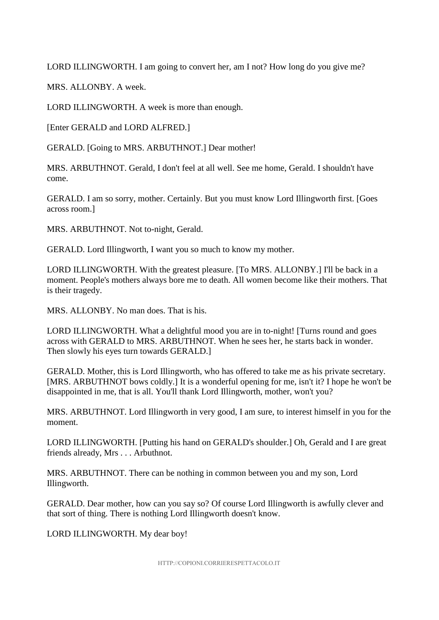LORD ILLINGWORTH. I am going to convert her, am I not? How long do you give me?

MRS. ALLONBY. A week.

LORD ILLINGWORTH. A week is more than enough.

[Enter GERALD and LORD ALFRED.]

GERALD. [Going to MRS. ARBUTHNOT.] Dear mother!

MRS. ARBUTHNOT. Gerald, I don't feel at all well. See me home, Gerald. I shouldn't have come.

GERALD. I am so sorry, mother. Certainly. But you must know Lord Illingworth first. [Goes across room.]

MRS. ARBUTHNOT. Not to-night, Gerald.

GERALD. Lord Illingworth, I want you so much to know my mother.

LORD ILLINGWORTH. With the greatest pleasure. [To MRS. ALLONBY.] I'll be back in a moment. People's mothers always bore me to death. All women become like their mothers. That is their tragedy.

MRS. ALLONBY. No man does. That is his.

LORD ILLINGWORTH. What a delightful mood you are in to-night! [Turns round and goes across with GERALD to MRS. ARBUTHNOT. When he sees her, he starts back in wonder. Then slowly his eyes turn towards GERALD.

GERALD. Mother, this is Lord Illingworth, who has offered to take me as his private secretary. [MRS. ARBUTHNOT bows coldly.] It is a wonderful opening for me, isn't it? I hope he won't be disappointed in me, that is all. You'll thank Lord Illingworth, mother, won't you?

MRS. ARBUTHNOT. Lord Illingworth in very good, I am sure, to interest himself in you for the moment.

LORD ILLINGWORTH. [Putting his hand on GERALD's shoulder.] Oh, Gerald and I are great friends already, Mrs . . . Arbuthnot.

MRS. ARBUTHNOT. There can be nothing in common between you and my son, Lord Illingworth.

GERALD. Dear mother, how can you say so? Of course Lord Illingworth is awfully clever and that sort of thing. There is nothing Lord Illingworth doesn't know.

LORD ILLINGWORTH. My dear boy!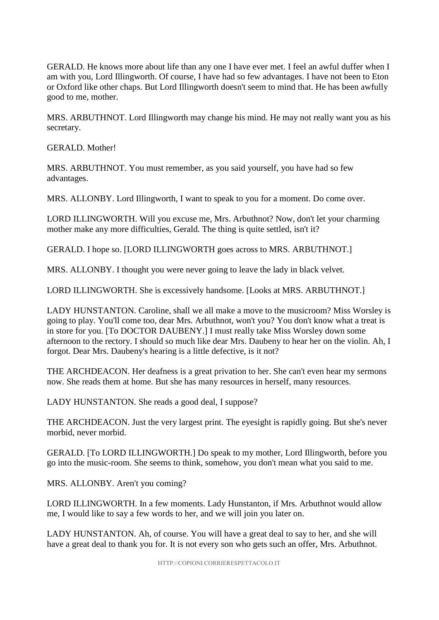GERALD. He knows more about life than any one I have ever met. I feel an awful duffer when I am with you, Lord Illingworth. Of course, I have had so few advantages. I have not been to Eton or Oxford like other chaps. But Lord Illingworth doesn't seem to mind that. He has been awfully good to me, mother.

MRS. ARBUTHNOT. Lord Illingworth may change his mind. He may not really want you as his secretary.

GERALD. Mother!

MRS. ARBUTHNOT. You must remember, as you said yourself, you have had so few advantages.

MRS. ALLONBY. Lord Illingworth, I want to speak to you for a moment. Do come over.

LORD ILLINGWORTH. Will you excuse me, Mrs. Arbuthnot? Now, don't let your charming mother make any more difficulties, Gerald. The thing is quite settled, isn't it?

GERALD. I hope so. [LORD ILLINGWORTH goes across to MRS. ARBUTHNOT.]

MRS. ALLONBY. I thought you were never going to leave the lady in black velvet.

LORD ILLINGWORTH. She is excessively handsome. [Looks at MRS. ARBUTHNOT.]

LADY HUNSTANTON. Caroline, shall we all make a move to the musicroom? Miss Worsley is going to play. You'll come too, dear Mrs. Arbuthnot, won't you? You don't know what a treat is in store for you. [To DOCTOR DAUBENY.] I must really take Miss Worsley down some afternoon to the rectory. I should so much like dear Mrs. Daubeny to hear her on the violin. Ah, I forgot. Dear Mrs. Daubeny's hearing is a little defective, is it not?

THE ARCHDEACON. Her deafness is a great privation to her. She can't even hear my sermons now. She reads them at home. But she has many resources in herself, many resources.

LADY HUNSTANTON. She reads a good deal, I suppose?

THE ARCHDEACON. Just the very largest print. The eyesight is rapidly going. But she's never morbid, never morbid.

GERALD. [To LORD ILLINGWORTH.] Do speak to my mother, Lord Illingworth, before you go into the music-room. She seems to think, somehow, you don't mean what you said to me.

MRS. ALLONBY. Aren't you coming?

LORD ILLINGWORTH. In a few moments. Lady Hunstanton, if Mrs. Arbuthnot would allow me, I would like to say a few words to her, and we will join you later on.

LADY HUNSTANTON. Ah, of course. You will have a great deal to say to her, and she will have a great deal to thank you for. It is not every son who gets such an offer, Mrs. Arbuthnot.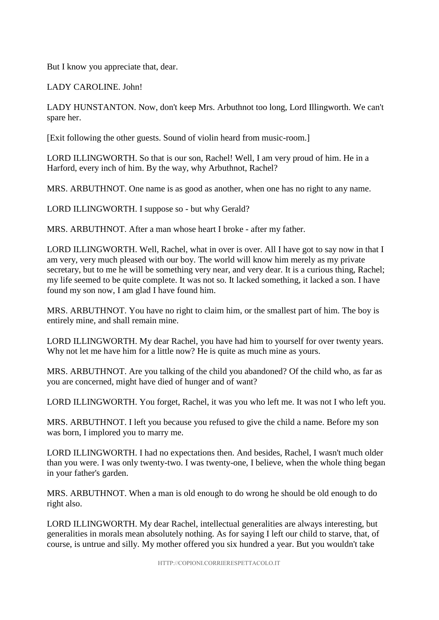But I know you appreciate that, dear.

LADY CAROLINE. John!

LADY HUNSTANTON. Now, don't keep Mrs. Arbuthnot too long, Lord Illingworth. We can't spare her.

[Exit following the other guests. Sound of violin heard from music-room.]

LORD ILLINGWORTH. So that is our son, Rachel! Well, I am very proud of him. He in a Harford, every inch of him. By the way, why Arbuthnot, Rachel?

MRS. ARBUTHNOT. One name is as good as another, when one has no right to any name.

LORD ILLINGWORTH. I suppose so - but why Gerald?

MRS. ARBUTHNOT. After a man whose heart I broke - after my father.

LORD ILLINGWORTH. Well, Rachel, what in over is over. All I have got to say now in that I am very, very much pleased with our boy. The world will know him merely as my private secretary, but to me he will be something very near, and very dear. It is a curious thing, Rachel; my life seemed to be quite complete. It was not so. It lacked something, it lacked a son. I have found my son now, I am glad I have found him.

MRS. ARBUTHNOT. You have no right to claim him, or the smallest part of him. The boy is entirely mine, and shall remain mine.

LORD ILLINGWORTH. My dear Rachel, you have had him to yourself for over twenty years. Why not let me have him for a little now? He is quite as much mine as yours.

MRS. ARBUTHNOT. Are you talking of the child you abandoned? Of the child who, as far as you are concerned, might have died of hunger and of want?

LORD ILLINGWORTH. You forget, Rachel, it was you who left me. It was not I who left you.

MRS. ARBUTHNOT. I left you because you refused to give the child a name. Before my son was born, I implored you to marry me.

LORD ILLINGWORTH. I had no expectations then. And besides, Rachel, I wasn't much older than you were. I was only twenty-two. I was twenty-one, I believe, when the whole thing began in your father's garden.

MRS. ARBUTHNOT. When a man is old enough to do wrong he should be old enough to do right also.

LORD ILLINGWORTH. My dear Rachel, intellectual generalities are always interesting, but generalities in morals mean absolutely nothing. As for saying I left our child to starve, that, of course, is untrue and silly. My mother offered you six hundred a year. But you wouldn't take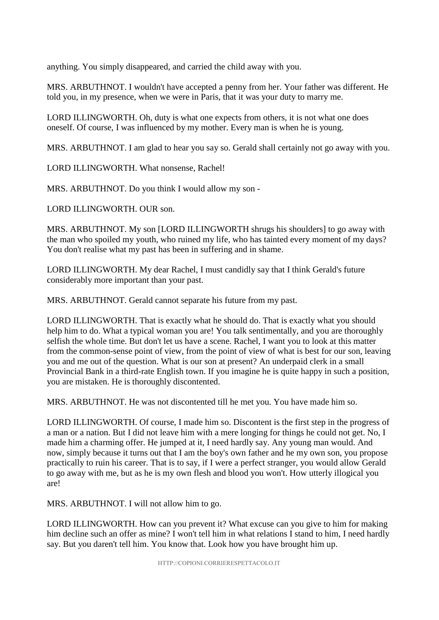anything. You simply disappeared, and carried the child away with you.

MRS. ARBUTHNOT. I wouldn't have accepted a penny from her. Your father was different. He told you, in my presence, when we were in Paris, that it was your duty to marry me.

LORD ILLINGWORTH. Oh, duty is what one expects from others, it is not what one does oneself. Of course, I was influenced by my mother. Every man is when he is young.

MRS. ARBUTHNOT. I am glad to hear you say so. Gerald shall certainly not go away with you.

LORD ILLINGWORTH. What nonsense, Rachel!

MRS. ARBUTHNOT. Do you think I would allow my son -

LORD ILLINGWORTH. OUR son.

MRS. ARBUTHNOT. My son [LORD ILLINGWORTH shrugs his shoulders] to go away with the man who spoiled my youth, who ruined my life, who has tainted every moment of my days? You don't realise what my past has been in suffering and in shame.

LORD ILLINGWORTH. My dear Rachel, I must candidly say that I think Gerald's future considerably more important than your past.

MRS. ARBUTHNOT. Gerald cannot separate his future from my past.

LORD ILLINGWORTH. That is exactly what he should do. That is exactly what you should help him to do. What a typical woman you are! You talk sentimentally, and you are thoroughly selfish the whole time. But don't let us have a scene. Rachel, I want you to look at this matter from the common-sense point of view, from the point of view of what is best for our son, leaving you and me out of the question. What is our son at present? An underpaid clerk in a small Provincial Bank in a third-rate English town. If you imagine he is quite happy in such a position, you are mistaken. He is thoroughly discontented.

MRS. ARBUTHNOT. He was not discontented till he met you. You have made him so.

LORD ILLINGWORTH. Of course, I made him so. Discontent is the first step in the progress of a man or a nation. But I did not leave him with a mere longing for things he could not get. No, I made him a charming offer. He jumped at it, I need hardly say. Any young man would. And now, simply because it turns out that I am the boy's own father and he my own son, you propose practically to ruin his career. That is to say, if I were a perfect stranger, you would allow Gerald to go away with me, but as he is my own flesh and blood you won't. How utterly illogical you are!

MRS. ARBUTHNOT. I will not allow him to go.

LORD ILLINGWORTH. How can you prevent it? What excuse can you give to him for making him decline such an offer as mine? I won't tell him in what relations I stand to him, I need hardly say. But you daren't tell him. You know that. Look how you have brought him up.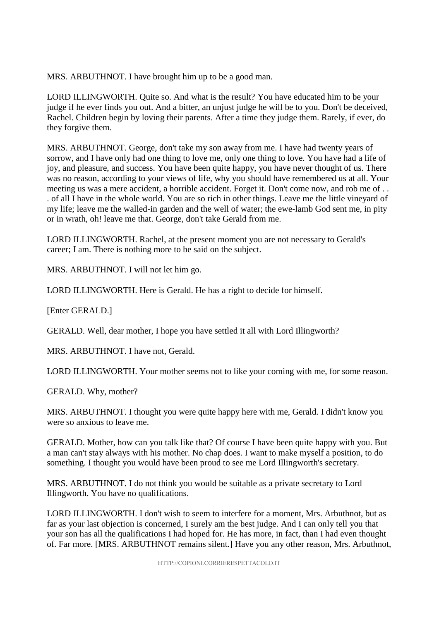MRS. ARBUTHNOT. I have brought him up to be a good man.

LORD ILLINGWORTH. Quite so. And what is the result? You have educated him to be your judge if he ever finds you out. And a bitter, an unjust judge he will be to you. Don't be deceived, Rachel. Children begin by loving their parents. After a time they judge them. Rarely, if ever, do they forgive them.

MRS. ARBUTHNOT. George, don't take my son away from me. I have had twenty years of sorrow, and I have only had one thing to love me, only one thing to love. You have had a life of joy, and pleasure, and success. You have been quite happy, you have never thought of us. There was no reason, according to your views of life, why you should have remembered us at all. Your meeting us was a mere accident, a horrible accident. Forget it. Don't come now, and rob me of . . . of all I have in the whole world. You are so rich in other things. Leave me the little vineyard of my life; leave me the walled-in garden and the well of water; the ewe-lamb God sent me, in pity or in wrath, oh! leave me that. George, don't take Gerald from me.

LORD ILLINGWORTH. Rachel, at the present moment you are not necessary to Gerald's career; I am. There is nothing more to be said on the subject.

MRS. ARBUTHNOT. I will not let him go.

LORD ILLINGWORTH. Here is Gerald. He has a right to decide for himself.

[Enter GERALD.]

GERALD. Well, dear mother, I hope you have settled it all with Lord Illingworth?

MRS. ARBUTHNOT. I have not, Gerald.

LORD ILLINGWORTH. Your mother seems not to like your coming with me, for some reason.

GERALD. Why, mother?

MRS. ARBUTHNOT. I thought you were quite happy here with me, Gerald. I didn't know you were so anxious to leave me.

GERALD. Mother, how can you talk like that? Of course I have been quite happy with you. But a man can't stay always with his mother. No chap does. I want to make myself a position, to do something. I thought you would have been proud to see me Lord Illingworth's secretary.

MRS. ARBUTHNOT. I do not think you would be suitable as a private secretary to Lord Illingworth. You have no qualifications.

LORD ILLINGWORTH. I don't wish to seem to interfere for a moment, Mrs. Arbuthnot, but as far as your last objection is concerned, I surely am the best judge. And I can only tell you that your son has all the qualifications I had hoped for. He has more, in fact, than I had even thought of. Far more. [MRS. ARBUTHNOT remains silent.] Have you any other reason, Mrs. Arbuthnot,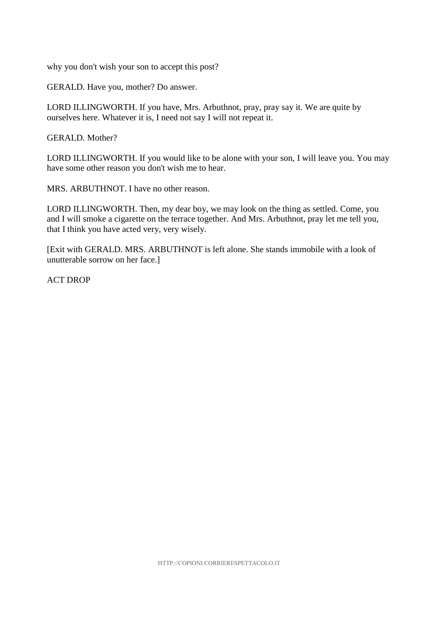why you don't wish your son to accept this post?

GERALD. Have you, mother? Do answer.

LORD ILLINGWORTH. If you have, Mrs. Arbuthnot, pray, pray say it. We are quite by ourselves here. Whatever it is, I need not say I will not repeat it.

GERALD. Mother?

LORD ILLINGWORTH. If you would like to be alone with your son, I will leave you. You may have some other reason you don't wish me to hear.

MRS. ARBUTHNOT. I have no other reason.

LORD ILLINGWORTH. Then, my dear boy, we may look on the thing as settled. Come, you and I will smoke a cigarette on the terrace together. And Mrs. Arbuthnot, pray let me tell you, that I think you have acted very, very wisely.

[Exit with GERALD. MRS. ARBUTHNOT is left alone. She stands immobile with a look of unutterable sorrow on her face.]

ACT DROP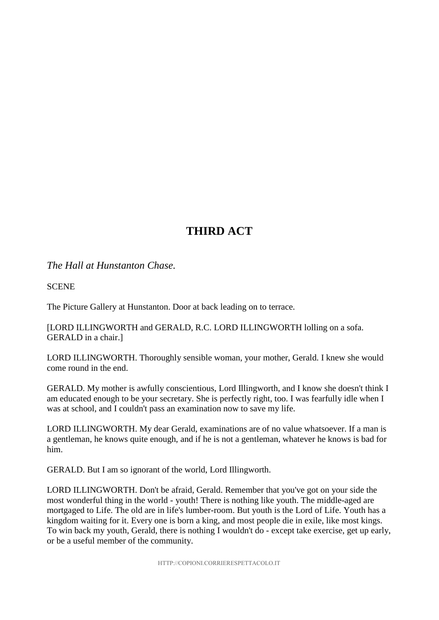# **THIRD ACT**

### *The Hall at Hunstanton Chase.*

**SCENE** 

The Picture Gallery at Hunstanton. Door at back leading on to terrace.

[LORD ILLINGWORTH and GERALD, R.C. LORD ILLINGWORTH lolling on a sofa. GERALD in a chair.]

LORD ILLINGWORTH. Thoroughly sensible woman, your mother, Gerald. I knew she would come round in the end.

GERALD. My mother is awfully conscientious, Lord Illingworth, and I know she doesn't think I am educated enough to be your secretary. She is perfectly right, too. I was fearfully idle when I was at school, and I couldn't pass an examination now to save my life.

LORD ILLINGWORTH. My dear Gerald, examinations are of no value whatsoever. If a man is a gentleman, he knows quite enough, and if he is not a gentleman, whatever he knows is bad for him.

GERALD. But I am so ignorant of the world, Lord Illingworth.

LORD ILLINGWORTH. Don't be afraid, Gerald. Remember that you've got on your side the most wonderful thing in the world - youth! There is nothing like youth. The middle-aged are mortgaged to Life. The old are in life's lumber-room. But youth is the Lord of Life. Youth has a kingdom waiting for it. Every one is born a king, and most people die in exile, like most kings. To win back my youth, Gerald, there is nothing I wouldn't do - except take exercise, get up early, or be a useful member of the community.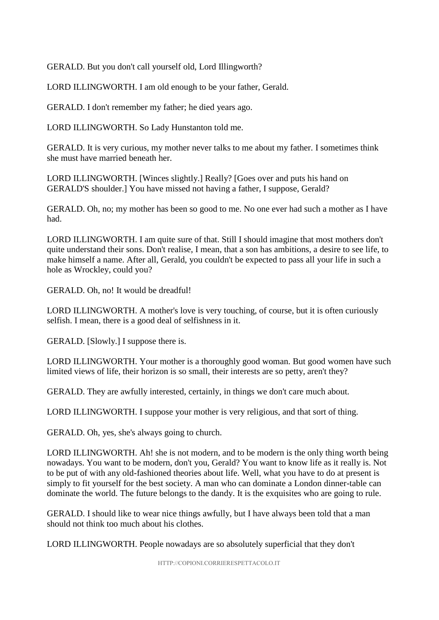GERALD. But you don't call yourself old, Lord Illingworth?

LORD ILLINGWORTH. I am old enough to be your father, Gerald.

GERALD. I don't remember my father; he died years ago.

LORD ILLINGWORTH. So Lady Hunstanton told me.

GERALD. It is very curious, my mother never talks to me about my father. I sometimes think she must have married beneath her.

LORD ILLINGWORTH. [Winces slightly.] Really? [Goes over and puts his hand on GERALD'S shoulder.] You have missed not having a father, I suppose, Gerald?

GERALD. Oh, no; my mother has been so good to me. No one ever had such a mother as I have had.

LORD ILLINGWORTH. I am quite sure of that. Still I should imagine that most mothers don't quite understand their sons. Don't realise, I mean, that a son has ambitions, a desire to see life, to make himself a name. After all, Gerald, you couldn't be expected to pass all your life in such a hole as Wrockley, could you?

GERALD. Oh, no! It would be dreadful!

LORD ILLINGWORTH. A mother's love is very touching, of course, but it is often curiously selfish. I mean, there is a good deal of selfishness in it.

GERALD. [Slowly.] I suppose there is.

LORD ILLINGWORTH. Your mother is a thoroughly good woman. But good women have such limited views of life, their horizon is so small, their interests are so petty, aren't they?

GERALD. They are awfully interested, certainly, in things we don't care much about.

LORD ILLINGWORTH. I suppose your mother is very religious, and that sort of thing.

GERALD. Oh, yes, she's always going to church.

LORD ILLINGWORTH. Ah! she is not modern, and to be modern is the only thing worth being nowadays. You want to be modern, don't you, Gerald? You want to know life as it really is. Not to be put of with any old-fashioned theories about life. Well, what you have to do at present is simply to fit yourself for the best society. A man who can dominate a London dinner-table can dominate the world. The future belongs to the dandy. It is the exquisites who are going to rule.

GERALD. I should like to wear nice things awfully, but I have always been told that a man should not think too much about his clothes.

LORD ILLINGWORTH. People nowadays are so absolutely superficial that they don't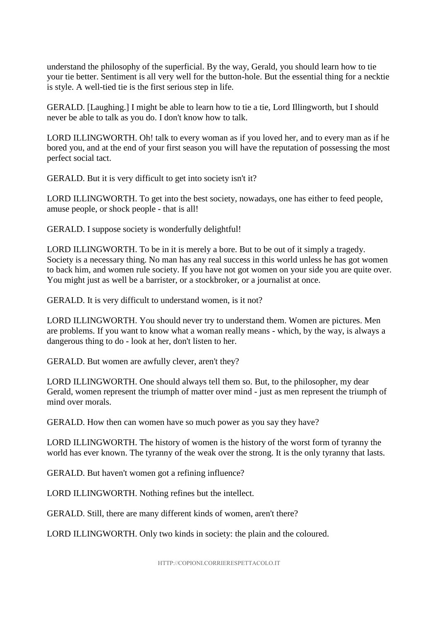understand the philosophy of the superficial. By the way, Gerald, you should learn how to tie your tie better. Sentiment is all very well for the button-hole. But the essential thing for a necktie is style. A well-tied tie is the first serious step in life.

GERALD. [Laughing.] I might be able to learn how to tie a tie, Lord Illingworth, but I should never be able to talk as you do. I don't know how to talk.

LORD ILLINGWORTH. Oh! talk to every woman as if you loved her, and to every man as if he bored you, and at the end of your first season you will have the reputation of possessing the most perfect social tact.

GERALD. But it is very difficult to get into society isn't it?

LORD ILLINGWORTH. To get into the best society, nowadays, one has either to feed people, amuse people, or shock people - that is all!

GERALD. I suppose society is wonderfully delightful!

LORD ILLINGWORTH. To be in it is merely a bore. But to be out of it simply a tragedy. Society is a necessary thing. No man has any real success in this world unless he has got women to back him, and women rule society. If you have not got women on your side you are quite over. You might just as well be a barrister, or a stockbroker, or a journalist at once.

GERALD. It is very difficult to understand women, is it not?

LORD ILLINGWORTH. You should never try to understand them. Women are pictures. Men are problems. If you want to know what a woman really means - which, by the way, is always a dangerous thing to do - look at her, don't listen to her.

GERALD. But women are awfully clever, aren't they?

LORD ILLINGWORTH. One should always tell them so. But, to the philosopher, my dear Gerald, women represent the triumph of matter over mind - just as men represent the triumph of mind over morals.

GERALD. How then can women have so much power as you say they have?

LORD ILLINGWORTH. The history of women is the history of the worst form of tyranny the world has ever known. The tyranny of the weak over the strong. It is the only tyranny that lasts.

GERALD. But haven't women got a refining influence?

LORD ILLINGWORTH. Nothing refines but the intellect.

GERALD. Still, there are many different kinds of women, aren't there?

LORD ILLINGWORTH. Only two kinds in society: the plain and the coloured.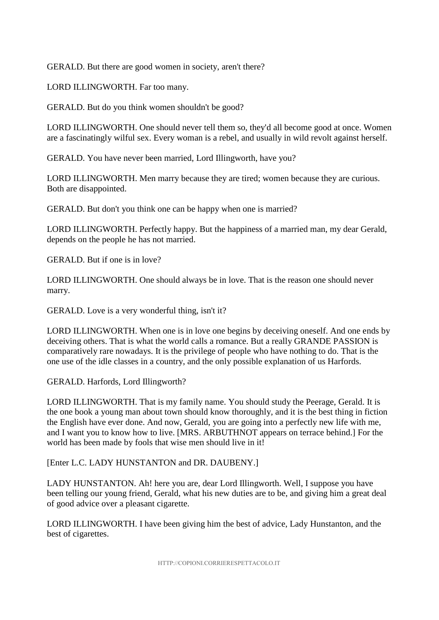GERALD. But there are good women in society, aren't there?

LORD ILLINGWORTH. Far too many.

GERALD. But do you think women shouldn't be good?

LORD ILLINGWORTH. One should never tell them so, they'd all become good at once. Women are a fascinatingly wilful sex. Every woman is a rebel, and usually in wild revolt against herself.

GERALD. You have never been married, Lord Illingworth, have you?

LORD ILLINGWORTH. Men marry because they are tired; women because they are curious. Both are disappointed.

GERALD. But don't you think one can be happy when one is married?

LORD ILLINGWORTH. Perfectly happy. But the happiness of a married man, my dear Gerald, depends on the people he has not married.

GERALD. But if one is in love?

LORD ILLINGWORTH. One should always be in love. That is the reason one should never marry.

GERALD. Love is a very wonderful thing, isn't it?

LORD ILLINGWORTH. When one is in love one begins by deceiving oneself. And one ends by deceiving others. That is what the world calls a romance. But a really GRANDE PASSION is comparatively rare nowadays. It is the privilege of people who have nothing to do. That is the one use of the idle classes in a country, and the only possible explanation of us Harfords.

GERALD. Harfords, Lord Illingworth?

LORD ILLINGWORTH. That is my family name. You should study the Peerage, Gerald. It is the one book a young man about town should know thoroughly, and it is the best thing in fiction the English have ever done. And now, Gerald, you are going into a perfectly new life with me, and I want you to know how to live. [MRS. ARBUTHNOT appears on terrace behind.] For the world has been made by fools that wise men should live in it!

[Enter L.C. LADY HUNSTANTON and DR. DAUBENY.]

LADY HUNSTANTON. Ah! here you are, dear Lord Illingworth. Well, I suppose you have been telling our young friend, Gerald, what his new duties are to be, and giving him a great deal of good advice over a pleasant cigarette.

LORD ILLINGWORTH. I have been giving him the best of advice, Lady Hunstanton, and the best of cigarettes.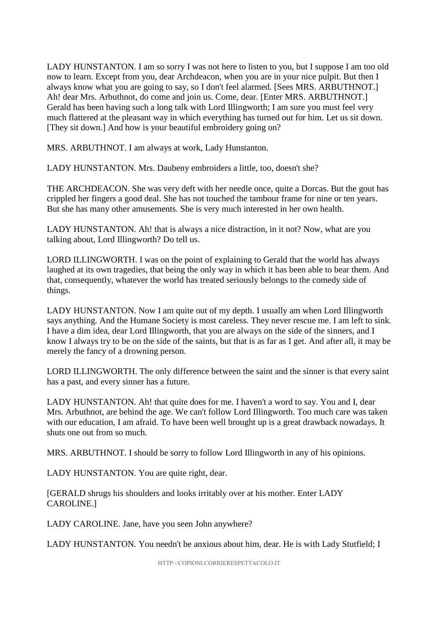LADY HUNSTANTON. I am so sorry I was not here to listen to you, but I suppose I am too old now to learn. Except from you, dear Archdeacon, when you are in your nice pulpit. But then I always know what you are going to say, so I don't feel alarmed. [Sees MRS. ARBUTHNOT.] Ah! dear Mrs. Arbuthnot, do come and join us. Come, dear. [Enter MRS. ARBUTHNOT.] Gerald has been having such a long talk with Lord Illingworth; I am sure you must feel very much flattered at the pleasant way in which everything has turned out for him. Let us sit down. [They sit down.] And how is your beautiful embroidery going on?

MRS. ARBUTHNOT. I am always at work, Lady Hunstanton.

LADY HUNSTANTON. Mrs. Daubeny embroiders a little, too, doesn't she?

THE ARCHDEACON. She was very deft with her needle once, quite a Dorcas. But the gout has crippled her fingers a good deal. She has not touched the tambour frame for nine or ten years. But she has many other amusements. She is very much interested in her own health.

LADY HUNSTANTON. Ah! that is always a nice distraction, in it not? Now, what are you talking about, Lord Illingworth? Do tell us.

LORD ILLINGWORTH. I was on the point of explaining to Gerald that the world has always laughed at its own tragedies, that being the only way in which it has been able to bear them. And that, consequently, whatever the world has treated seriously belongs to the comedy side of things.

LADY HUNSTANTON. Now I am quite out of my depth. I usually am when Lord Illingworth says anything. And the Humane Society is most careless. They never rescue me. I am left to sink. I have a dim idea, dear Lord Illingworth, that you are always on the side of the sinners, and I know I always try to be on the side of the saints, but that is as far as I get. And after all, it may be merely the fancy of a drowning person.

LORD ILLINGWORTH. The only difference between the saint and the sinner is that every saint has a past, and every sinner has a future.

LADY HUNSTANTON. Ah! that quite does for me. I haven't a word to say. You and I, dear Mrs. Arbuthnot, are behind the age. We can't follow Lord Illingworth. Too much care was taken with our education, I am afraid. To have been well brought up is a great drawback nowadays. It shuts one out from so much.

MRS. ARBUTHNOT. I should be sorry to follow Lord Illingworth in any of his opinions.

LADY HUNSTANTON. You are quite right, dear.

[GERALD shrugs his shoulders and looks irritably over at his mother. Enter LADY CAROLINE.]

LADY CAROLINE. Jane, have you seen John anywhere?

LADY HUNSTANTON. You needn't be anxious about him, dear. He is with Lady Stutfield; I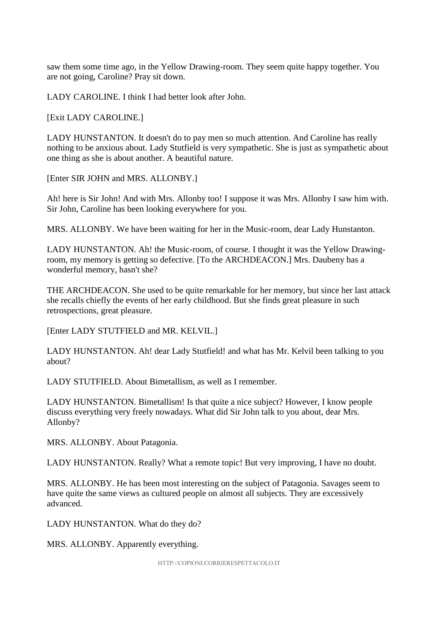saw them some time ago, in the Yellow Drawing-room. They seem quite happy together. You are not going, Caroline? Pray sit down.

LADY CAROLINE. I think I had better look after John.

[Exit LADY CAROLINE.]

LADY HUNSTANTON. It doesn't do to pay men so much attention. And Caroline has really nothing to be anxious about. Lady Stutfield is very sympathetic. She is just as sympathetic about one thing as she is about another. A beautiful nature.

[Enter SIR JOHN and MRS. ALLONBY.]

Ah! here is Sir John! And with Mrs. Allonby too! I suppose it was Mrs. Allonby I saw him with. Sir John, Caroline has been looking everywhere for you.

MRS. ALLONBY. We have been waiting for her in the Music-room, dear Lady Hunstanton.

LADY HUNSTANTON. Ah! the Music-room, of course. I thought it was the Yellow Drawingroom, my memory is getting so defective. [To the ARCHDEACON.] Mrs. Daubeny has a wonderful memory, hasn't she?

THE ARCHDEACON. She used to be quite remarkable for her memory, but since her last attack she recalls chiefly the events of her early childhood. But she finds great pleasure in such retrospections, great pleasure.

[Enter LADY STUTFIELD and MR. KELVIL.]

LADY HUNSTANTON. Ah! dear Lady Stutfield! and what has Mr. Kelvil been talking to you about?

LADY STUTFIELD. About Bimetallism, as well as I remember.

LADY HUNSTANTON. Bimetallism! Is that quite a nice subject? However, I know people discuss everything very freely nowadays. What did Sir John talk to you about, dear Mrs. Allonby?

MRS. ALLONBY. About Patagonia.

LADY HUNSTANTON. Really? What a remote topic! But very improving, I have no doubt.

MRS. ALLONBY. He has been most interesting on the subject of Patagonia. Savages seem to have quite the same views as cultured people on almost all subjects. They are excessively advanced.

LADY HUNSTANTON. What do they do?

MRS. ALLONBY. Apparently everything.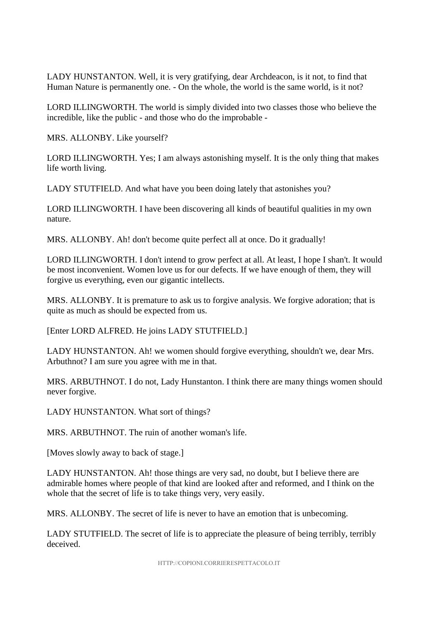LADY HUNSTANTON. Well, it is very gratifying, dear Archdeacon, is it not, to find that Human Nature is permanently one. - On the whole, the world is the same world, is it not?

LORD ILLINGWORTH. The world is simply divided into two classes those who believe the incredible, like the public - and those who do the improbable -

MRS. ALLONBY. Like yourself?

LORD ILLINGWORTH. Yes; I am always astonishing myself. It is the only thing that makes life worth living.

LADY STUTFIELD. And what have you been doing lately that astonishes you?

LORD ILLINGWORTH. I have been discovering all kinds of beautiful qualities in my own nature.

MRS. ALLONBY. Ah! don't become quite perfect all at once. Do it gradually!

LORD ILLINGWORTH. I don't intend to grow perfect at all. At least, I hope I shan't. It would be most inconvenient. Women love us for our defects. If we have enough of them, they will forgive us everything, even our gigantic intellects.

MRS. ALLONBY. It is premature to ask us to forgive analysis. We forgive adoration; that is quite as much as should be expected from us.

[Enter LORD ALFRED. He joins LADY STUTFIELD.]

LADY HUNSTANTON. Ah! we women should forgive everything, shouldn't we, dear Mrs. Arbuthnot? I am sure you agree with me in that.

MRS. ARBUTHNOT. I do not, Lady Hunstanton. I think there are many things women should never forgive.

LADY HUNSTANTON. What sort of things?

MRS. ARBUTHNOT. The ruin of another woman's life.

[Moves slowly away to back of stage.]

LADY HUNSTANTON. Ah! those things are very sad, no doubt, but I believe there are admirable homes where people of that kind are looked after and reformed, and I think on the whole that the secret of life is to take things very, very easily.

MRS. ALLONBY. The secret of life is never to have an emotion that is unbecoming.

LADY STUTFIELD. The secret of life is to appreciate the pleasure of being terribly, terribly deceived.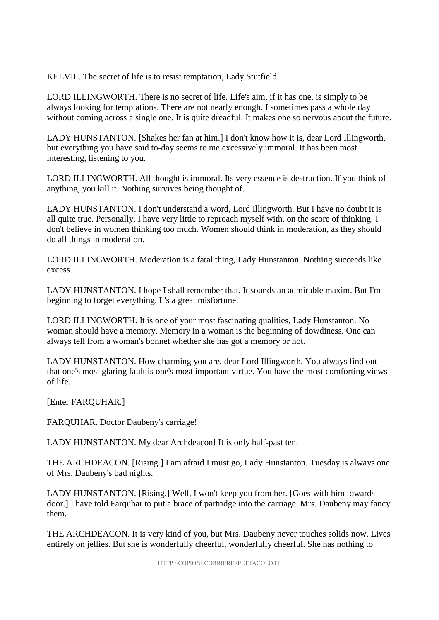KELVIL. The secret of life is to resist temptation, Lady Stutfield.

LORD ILLINGWORTH. There is no secret of life. Life's aim, if it has one, is simply to be always looking for temptations. There are not nearly enough. I sometimes pass a whole day without coming across a single one. It is quite dreadful. It makes one so nervous about the future.

LADY HUNSTANTON. [Shakes her fan at him.] I don't know how it is, dear Lord Illingworth, but everything you have said to-day seems to me excessively immoral. It has been most interesting, listening to you.

LORD ILLINGWORTH. All thought is immoral. Its very essence is destruction. If you think of anything, you kill it. Nothing survives being thought of.

LADY HUNSTANTON. I don't understand a word, Lord Illingworth. But I have no doubt it is all quite true. Personally, I have very little to reproach myself with, on the score of thinking. I don't believe in women thinking too much. Women should think in moderation, as they should do all things in moderation.

LORD ILLINGWORTH. Moderation is a fatal thing, Lady Hunstanton. Nothing succeeds like excess.

LADY HUNSTANTON. I hope I shall remember that. It sounds an admirable maxim. But I'm beginning to forget everything. It's a great misfortune.

LORD ILLINGWORTH. It is one of your most fascinating qualities, Lady Hunstanton. No woman should have a memory. Memory in a woman is the beginning of dowdiness. One can always tell from a woman's bonnet whether she has got a memory or not.

LADY HUNSTANTON. How charming you are, dear Lord Illingworth. You always find out that one's most glaring fault is one's most important virtue. You have the most comforting views of life.

[Enter FARQUHAR.]

FARQUHAR. Doctor Daubeny's carriage!

LADY HUNSTANTON. My dear Archdeacon! It is only half-past ten.

THE ARCHDEACON. [Rising.] I am afraid I must go, Lady Hunstanton. Tuesday is always one of Mrs. Daubeny's bad nights.

LADY HUNSTANTON. [Rising.] Well, I won't keep you from her. [Goes with him towards door.] I have told Farquhar to put a brace of partridge into the carriage. Mrs. Daubeny may fancy them.

THE ARCHDEACON. It is very kind of you, but Mrs. Daubeny never touches solids now. Lives entirely on jellies. But she is wonderfully cheerful, wonderfully cheerful. She has nothing to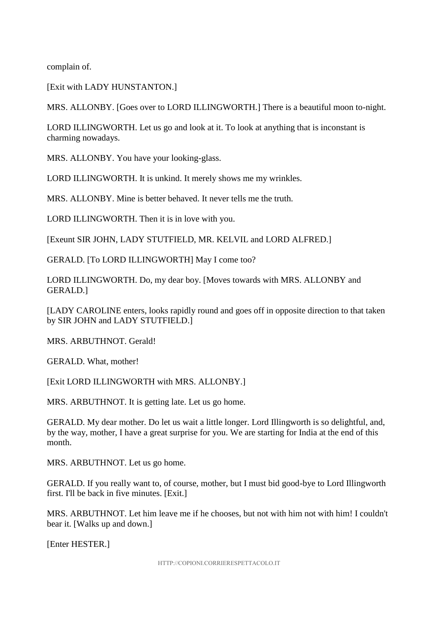complain of.

[Exit with LADY HUNSTANTON.]

MRS. ALLONBY. [Goes over to LORD ILLINGWORTH.] There is a beautiful moon to-night.

LORD ILLINGWORTH. Let us go and look at it. To look at anything that is inconstant is charming nowadays.

MRS. ALLONBY. You have your looking-glass.

LORD ILLINGWORTH. It is unkind. It merely shows me my wrinkles.

MRS. ALLONBY. Mine is better behaved. It never tells me the truth.

LORD ILLINGWORTH. Then it is in love with you.

[Exeunt SIR JOHN, LADY STUTFIELD, MR. KELVIL and LORD ALFRED.]

GERALD. [To LORD ILLINGWORTH] May I come too?

LORD ILLINGWORTH. Do, my dear boy. [Moves towards with MRS. ALLONBY and GERALD.]

[LADY CAROLINE enters, looks rapidly round and goes off in opposite direction to that taken by SIR JOHN and LADY STUTFIELD.]

MRS. ARBUTHNOT. Gerald!

GERALD. What, mother!

[Exit LORD ILLINGWORTH with MRS. ALLONBY.]

MRS. ARBUTHNOT. It is getting late. Let us go home.

GERALD. My dear mother. Do let us wait a little longer. Lord Illingworth is so delightful, and, by the way, mother, I have a great surprise for you. We are starting for India at the end of this month.

MRS. ARBUTHNOT. Let us go home.

GERALD. If you really want to, of course, mother, but I must bid good-bye to Lord Illingworth first. I'll be back in five minutes. [Exit.]

MRS. ARBUTHNOT. Let him leave me if he chooses, but not with him not with him! I couldn't bear it. [Walks up and down.]

[Enter HESTER.]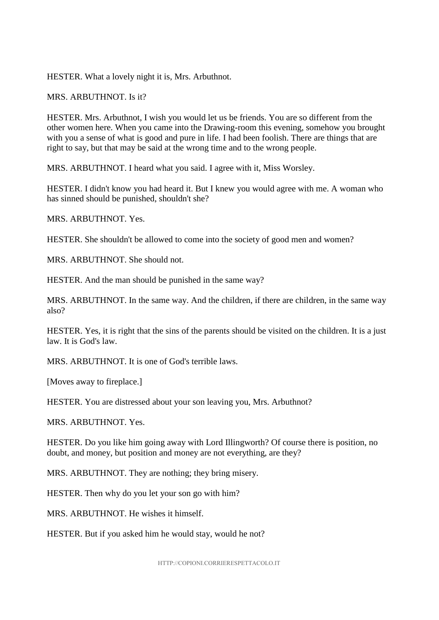HESTER. What a lovely night it is, Mrs. Arbuthnot.

MRS. ARBUTHNOT. Is it?

HESTER. Mrs. Arbuthnot, I wish you would let us be friends. You are so different from the other women here. When you came into the Drawing-room this evening, somehow you brought with you a sense of what is good and pure in life. I had been foolish. There are things that are right to say, but that may be said at the wrong time and to the wrong people.

MRS. ARBUTHNOT. I heard what you said. I agree with it, Miss Worsley.

HESTER. I didn't know you had heard it. But I knew you would agree with me. A woman who has sinned should be punished, shouldn't she?

MRS. ARBUTHNOT. Yes.

HESTER. She shouldn't be allowed to come into the society of good men and women?

MRS. ARBUTHNOT. She should not.

HESTER. And the man should be punished in the same way?

MRS. ARBUTHNOT. In the same way. And the children, if there are children, in the same way also?

HESTER. Yes, it is right that the sins of the parents should be visited on the children. It is a just law. It is God's law.

MRS. ARBUTHNOT. It is one of God's terrible laws.

[Moves away to fireplace.]

HESTER. You are distressed about your son leaving you, Mrs. Arbuthnot?

MRS. ARBUTHNOT. Yes.

HESTER. Do you like him going away with Lord Illingworth? Of course there is position, no doubt, and money, but position and money are not everything, are they?

MRS. ARBUTHNOT. They are nothing; they bring misery.

HESTER. Then why do you let your son go with him?

MRS. ARBUTHNOT. He wishes it himself.

HESTER. But if you asked him he would stay, would he not?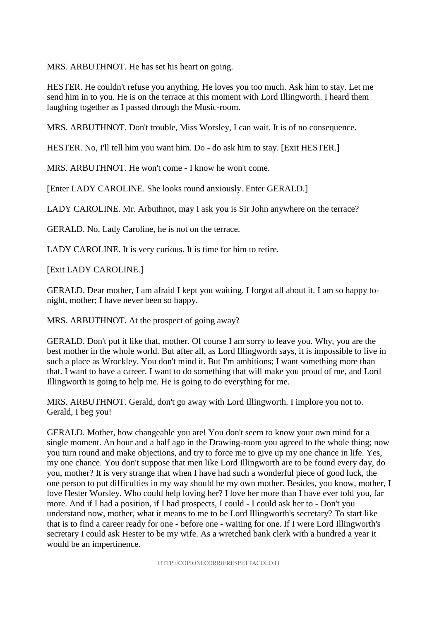MRS. ARBUTHNOT. He has set his heart on going.

HESTER. He couldn't refuse you anything. He loves you too much. Ask him to stay. Let me send him in to you. He is on the terrace at this moment with Lord Illingworth. I heard them laughing together as I passed through the Music-room.

MRS. ARBUTHNOT. Don't trouble, Miss Worsley, I can wait. It is of no consequence.

HESTER. No, I'll tell him you want him. Do - do ask him to stay. [Exit HESTER.]

MRS. ARBUTHNOT. He won't come - I know he won't come.

[Enter LADY CAROLINE. She looks round anxiously. Enter GERALD.]

LADY CAROLINE. Mr. Arbuthnot, may I ask you is Sir John anywhere on the terrace?

GERALD. No, Lady Caroline, he is not on the terrace.

LADY CAROLINE. It is very curious. It is time for him to retire.

[Exit LADY CAROLINE.]

GERALD. Dear mother, I am afraid I kept you waiting. I forgot all about it. I am so happy tonight, mother; I have never been so happy.

MRS. ARBUTHNOT. At the prospect of going away?

GERALD. Don't put it like that, mother. Of course I am sorry to leave you. Why, you are the best mother in the whole world. But after all, as Lord Illingworth says, it is impossible to live in such a place as Wrockley. You don't mind it. But I'm ambitions; I want something more than that. I want to have a career. I want to do something that will make you proud of me, and Lord Illingworth is going to help me. He is going to do everything for me.

MRS. ARBUTHNOT. Gerald, don't go away with Lord Illingworth. I implore you not to. Gerald, I beg you!

GERALD. Mother, how changeable you are! You don't seem to know your own mind for a single moment. An hour and a half ago in the Drawing-room you agreed to the whole thing; now you turn round and make objections, and try to force me to give up my one chance in life. Yes, my one chance. You don't suppose that men like Lord Illingworth are to be found every day, do you, mother? It is very strange that when I have had such a wonderful piece of good luck, the one person to put difficulties in my way should be my own mother. Besides, you know, mother, I love Hester Worsley. Who could help loving her? I love her more than I have ever told you, far more. And if I had a position, if I had prospects, I could - I could ask her to - Don't you understand now, mother, what it means to me to be Lord Illingworth's secretary? To start like that is to find a career ready for one - before one - waiting for one. If I were Lord Illingworth's secretary I could ask Hester to be my wife. As a wretched bank clerk with a hundred a year it would be an impertinence.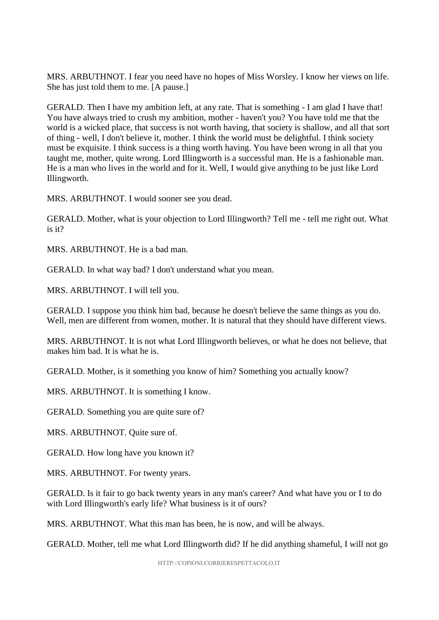MRS. ARBUTHNOT. I fear you need have no hopes of Miss Worsley. I know her views on life. She has just told them to me. [A pause.]

GERALD. Then I have my ambition left, at any rate. That is something - I am glad I have that! You have always tried to crush my ambition, mother - haven't you? You have told me that the world is a wicked place, that success is not worth having, that society is shallow, and all that sort of thing - well, I don't believe it, mother. I think the world must be delightful. I think society must be exquisite. I think success is a thing worth having. You have been wrong in all that you taught me, mother, quite wrong. Lord Illingworth is a successful man. He is a fashionable man. He is a man who lives in the world and for it. Well, I would give anything to be just like Lord Illingworth.

MRS. ARBUTHNOT. I would sooner see you dead.

GERALD. Mother, what is your objection to Lord Illingworth? Tell me - tell me right out. What is it?

MRS. ARBUTHNOT. He is a bad man.

GERALD. In what way bad? I don't understand what you mean.

MRS. ARBUTHNOT. I will tell you.

GERALD. I suppose you think him bad, because he doesn't believe the same things as you do. Well, men are different from women, mother. It is natural that they should have different views.

MRS. ARBUTHNOT. It is not what Lord Illingworth believes, or what he does not believe, that makes him bad. It is what he is.

GERALD. Mother, is it something you know of him? Something you actually know?

MRS. ARBUTHNOT. It is something I know.

GERALD. Something you are quite sure of?

MRS. ARBUTHNOT. Quite sure of.

GERALD. How long have you known it?

MRS. ARBUTHNOT. For twenty years.

GERALD. Is it fair to go back twenty years in any man's career? And what have you or I to do with Lord Illingworth's early life? What business is it of ours?

MRS. ARBUTHNOT. What this man has been, he is now, and will be always.

GERALD. Mother, tell me what Lord Illingworth did? If he did anything shameful, I will not go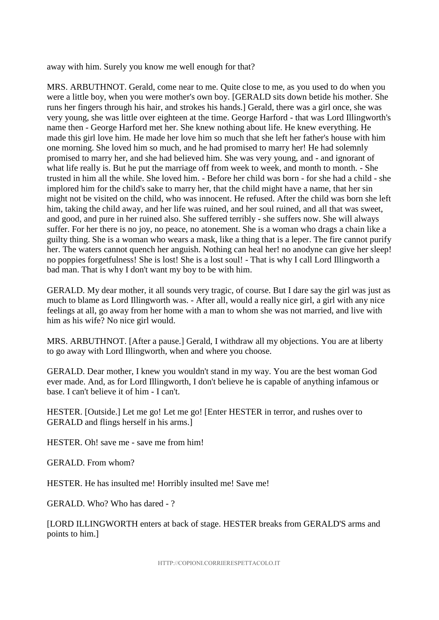away with him. Surely you know me well enough for that?

MRS. ARBUTHNOT. Gerald, come near to me. Quite close to me, as you used to do when you were a little boy, when you were mother's own boy. [GERALD sits down betide his mother. She runs her fingers through his hair, and strokes his hands.] Gerald, there was a girl once, she was very young, she was little over eighteen at the time. George Harford - that was Lord Illingworth's name then - George Harford met her. She knew nothing about life. He knew everything. He made this girl love him. He made her love him so much that she left her father's house with him one morning. She loved him so much, and he had promised to marry her! He had solemnly promised to marry her, and she had believed him. She was very young, and - and ignorant of what life really is. But he put the marriage off from week to week, and month to month. - She trusted in him all the while. She loved him. - Before her child was born - for she had a child - she implored him for the child's sake to marry her, that the child might have a name, that her sin might not be visited on the child, who was innocent. He refused. After the child was born she left him, taking the child away, and her life was ruined, and her soul ruined, and all that was sweet, and good, and pure in her ruined also. She suffered terribly - she suffers now. She will always suffer. For her there is no joy, no peace, no atonement. She is a woman who drags a chain like a guilty thing. She is a woman who wears a mask, like a thing that is a leper. The fire cannot purify her. The waters cannot quench her anguish. Nothing can heal her! no anodyne can give her sleep! no poppies forgetfulness! She is lost! She is a lost soul! - That is why I call Lord Illingworth a bad man. That is why I don't want my boy to be with him.

GERALD. My dear mother, it all sounds very tragic, of course. But I dare say the girl was just as much to blame as Lord Illingworth was. - After all, would a really nice girl, a girl with any nice feelings at all, go away from her home with a man to whom she was not married, and live with him as his wife? No nice girl would.

MRS. ARBUTHNOT. [After a pause.] Gerald, I withdraw all my objections. You are at liberty to go away with Lord Illingworth, when and where you choose.

GERALD. Dear mother, I knew you wouldn't stand in my way. You are the best woman God ever made. And, as for Lord Illingworth, I don't believe he is capable of anything infamous or base. I can't believe it of him - I can't.

HESTER. [Outside.] Let me go! Let me go! [Enter HESTER in terror, and rushes over to GERALD and flings herself in his arms.]

HESTER. Oh! save me - save me from him!

GERALD. From whom?

HESTER. He has insulted me! Horribly insulted me! Save me!

GERALD. Who? Who has dared - ?

[LORD ILLINGWORTH enters at back of stage. HESTER breaks from GERALD'S arms and points to him.]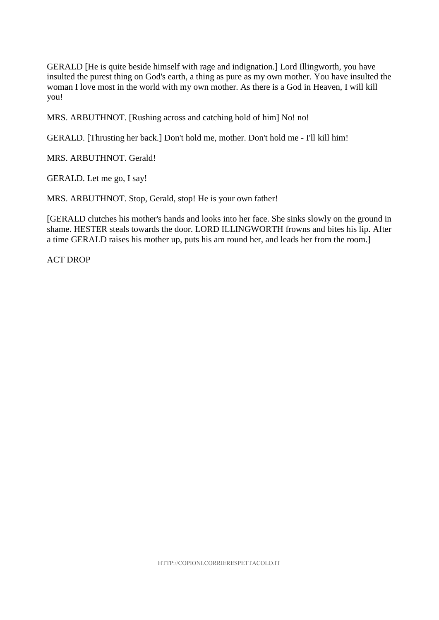GERALD [He is quite beside himself with rage and indignation.] Lord Illingworth, you have insulted the purest thing on God's earth, a thing as pure as my own mother. You have insulted the woman I love most in the world with my own mother. As there is a God in Heaven, I will kill you!

MRS. ARBUTHNOT. [Rushing across and catching hold of him] No! no!

GERALD. [Thrusting her back.] Don't hold me, mother. Don't hold me - I'll kill him!

MRS. ARBUTHNOT. Gerald!

GERALD. Let me go, I say!

MRS. ARBUTHNOT. Stop, Gerald, stop! He is your own father!

[GERALD clutches his mother's hands and looks into her face. She sinks slowly on the ground in shame. HESTER steals towards the door. LORD ILLINGWORTH frowns and bites his lip. After a time GERALD raises his mother up, puts his am round her, and leads her from the room.]

ACT DROP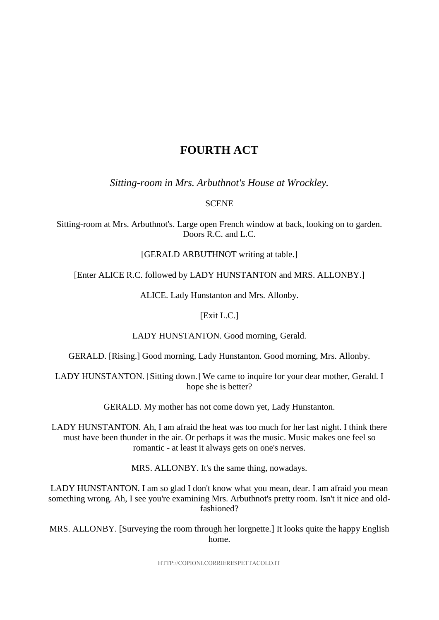## **FOURTH ACT**

*Sitting-room in Mrs. Arbuthnot's House at Wrockley.*

#### **SCENE**

Sitting-room at Mrs. Arbuthnot's. Large open French window at back, looking on to garden. Doors R.C. and L.C.

#### [GERALD ARBUTHNOT writing at table.]

[Enter ALICE R.C. followed by LADY HUNSTANTON and MRS. ALLONBY.]

ALICE. Lady Hunstanton and Mrs. Allonby.

#### [Exit L.C.]

LADY HUNSTANTON. Good morning, Gerald.

GERALD. [Rising.] Good morning, Lady Hunstanton. Good morning, Mrs. Allonby.

LADY HUNSTANTON. [Sitting down.] We came to inquire for your dear mother, Gerald. I hope she is better?

GERALD. My mother has not come down yet, Lady Hunstanton.

LADY HUNSTANTON. Ah, I am afraid the heat was too much for her last night. I think there must have been thunder in the air. Or perhaps it was the music. Music makes one feel so romantic - at least it always gets on one's nerves.

MRS. ALLONBY. It's the same thing, nowadays.

LADY HUNSTANTON. I am so glad I don't know what you mean, dear. I am afraid you mean something wrong. Ah, I see you're examining Mrs. Arbuthnot's pretty room. Isn't it nice and oldfashioned?

MRS. ALLONBY. [Surveying the room through her lorgnette.] It looks quite the happy English home.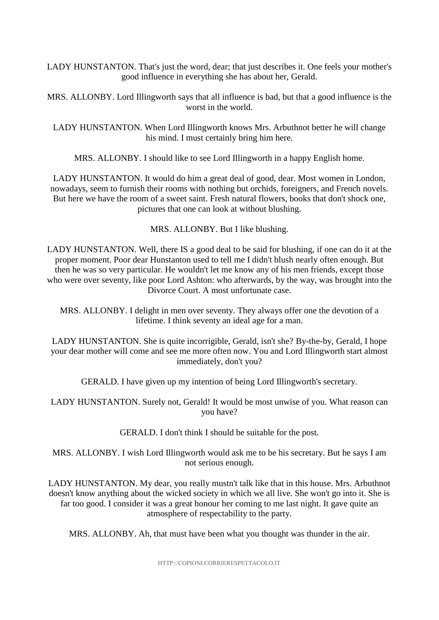LADY HUNSTANTON. That's just the word, dear; that just describes it. One feels your mother's good influence in everything she has about her, Gerald.

MRS. ALLONBY. Lord Illingworth says that all influence is bad, but that a good influence is the worst in the world.

LADY HUNSTANTON. When Lord Illingworth knows Mrs. Arbuthnot better he will change his mind. I must certainly bring him here.

MRS. ALLONBY. I should like to see Lord Illingworth in a happy English home.

LADY HUNSTANTON. It would do him a great deal of good, dear. Most women in London, nowadays, seem to furnish their rooms with nothing but orchids, foreigners, and French novels. But here we have the room of a sweet saint. Fresh natural flowers, books that don't shock one, pictures that one can look at without blushing.

MRS. ALLONBY. But I like blushing.

LADY HUNSTANTON. Well, there IS a good deal to be said for blushing, if one can do it at the proper moment. Poor dear Hunstanton used to tell me I didn't blush nearly often enough. But then he was so very particular. He wouldn't let me know any of his men friends, except those who were over seventy, like poor Lord Ashton: who afterwards, by the way, was brought into the Divorce Court. A most unfortunate case.

MRS. ALLONBY. I delight in men over seventy. They always offer one the devotion of a lifetime. I think seventy an ideal age for a man.

LADY HUNSTANTON. She is quite incorrigible, Gerald, isn't she? By-the-by, Gerald, I hope your dear mother will come and see me more often now. You and Lord Illingworth start almost immediately, don't you?

GERALD. I have given up my intention of being Lord Illingworth's secretary.

LADY HUNSTANTON. Surely not, Gerald! It would be most unwise of you. What reason can you have?

GERALD. I don't think I should be suitable for the post.

MRS. ALLONBY. I wish Lord Illingworth would ask me to be his secretary. But he says I am not serious enough.

LADY HUNSTANTON. My dear, you really mustn't talk like that in this house. Mrs. Arbuthnot doesn't know anything about the wicked society in which we all live. She won't go into it. She is far too good. I consider it was a great honour her coming to me last night. It gave quite an atmosphere of respectability to the party.

MRS. ALLONBY. Ah, that must have been what you thought was thunder in the air.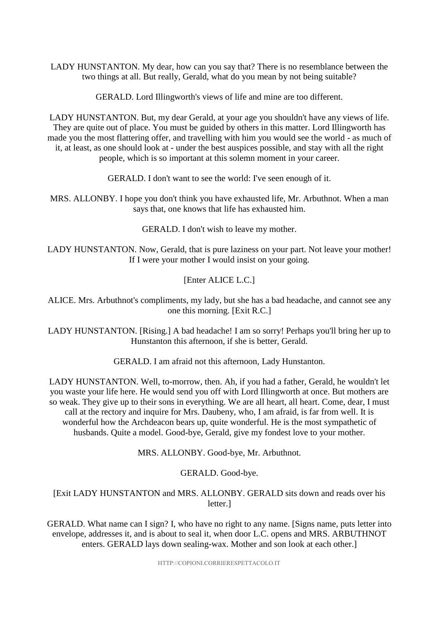LADY HUNSTANTON. My dear, how can you say that? There is no resemblance between the two things at all. But really, Gerald, what do you mean by not being suitable?

GERALD. Lord Illingworth's views of life and mine are too different.

LADY HUNSTANTON. But, my dear Gerald, at your age you shouldn't have any views of life. They are quite out of place. You must be guided by others in this matter. Lord Illingworth has made you the most flattering offer, and travelling with him you would see the world - as much of it, at least, as one should look at - under the best auspices possible, and stay with all the right people, which is so important at this solemn moment in your career.

GERALD. I don't want to see the world: I've seen enough of it.

MRS. ALLONBY. I hope you don't think you have exhausted life, Mr. Arbuthnot. When a man says that, one knows that life has exhausted him.

GERALD. I don't wish to leave my mother.

LADY HUNSTANTON. Now, Gerald, that is pure laziness on your part. Not leave your mother! If I were your mother I would insist on your going.

[Enter ALICE L.C.]

ALICE. Mrs. Arbuthnot's compliments, my lady, but she has a bad headache, and cannot see any one this morning. [Exit R.C.]

LADY HUNSTANTON. [Rising.] A bad headache! I am so sorry! Perhaps you'll bring her up to Hunstanton this afternoon, if she is better, Gerald.

GERALD. I am afraid not this afternoon, Lady Hunstanton.

LADY HUNSTANTON. Well, to-morrow, then. Ah, if you had a father, Gerald, he wouldn't let you waste your life here. He would send you off with Lord Illingworth at once. But mothers are so weak. They give up to their sons in everything. We are all heart, all heart. Come, dear, I must call at the rectory and inquire for Mrs. Daubeny, who, I am afraid, is far from well. It is wonderful how the Archdeacon bears up, quite wonderful. He is the most sympathetic of husbands. Quite a model. Good-bye, Gerald, give my fondest love to your mother.

MRS. ALLONBY. Good-bye, Mr. Arbuthnot.

#### GERALD. Good-bye.

[Exit LADY HUNSTANTON and MRS. ALLONBY. GERALD sits down and reads over his letter.]

GERALD. What name can I sign? I, who have no right to any name. [Signs name, puts letter into envelope, addresses it, and is about to seal it, when door L.C. opens and MRS. ARBUTHNOT enters. GERALD lays down sealing-wax. Mother and son look at each other.]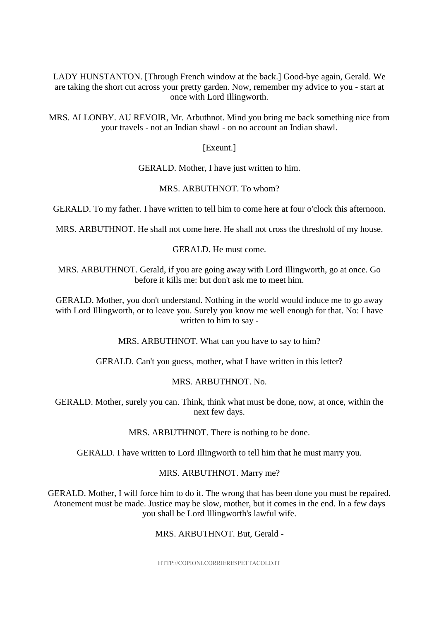LADY HUNSTANTON. [Through French window at the back.] Good-bye again, Gerald. We are taking the short cut across your pretty garden. Now, remember my advice to you - start at once with Lord Illingworth.

MRS. ALLONBY. AU REVOIR, Mr. Arbuthnot. Mind you bring me back something nice from your travels - not an Indian shawl - on no account an Indian shawl.

[Exeunt.]

GERALD. Mother, I have just written to him.

MRS. ARBUTHNOT. To whom?

GERALD. To my father. I have written to tell him to come here at four o'clock this afternoon.

MRS. ARBUTHNOT. He shall not come here. He shall not cross the threshold of my house.

GERALD. He must come.

MRS. ARBUTHNOT. Gerald, if you are going away with Lord Illingworth, go at once. Go before it kills me: but don't ask me to meet him.

GERALD. Mother, you don't understand. Nothing in the world would induce me to go away with Lord Illingworth, or to leave you. Surely you know me well enough for that. No: I have written to him to say -

MRS. ARBUTHNOT. What can you have to say to him?

GERALD. Can't you guess, mother, what I have written in this letter?

#### MRS. ARBUTHNOT. No.

GERALD. Mother, surely you can. Think, think what must be done, now, at once, within the next few days.

MRS. ARBUTHNOT. There is nothing to be done.

GERALD. I have written to Lord Illingworth to tell him that he must marry you.

#### MRS. ARBUTHNOT. Marry me?

GERALD. Mother, I will force him to do it. The wrong that has been done you must be repaired. Atonement must be made. Justice may be slow, mother, but it comes in the end. In a few days you shall be Lord Illingworth's lawful wife.

MRS. ARBUTHNOT. But, Gerald -

HTTP://COPIONI.CORRIERESPETTACOLO.IT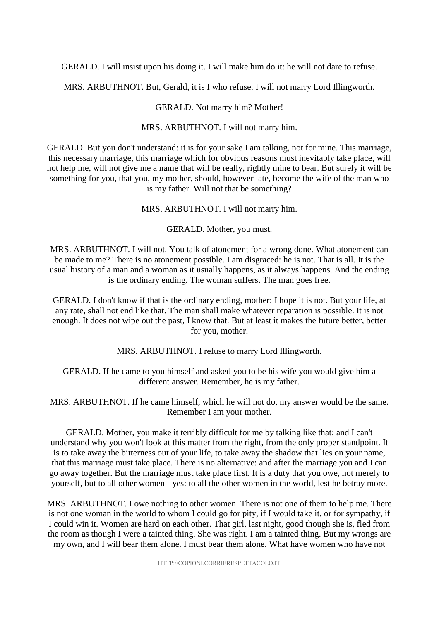GERALD. I will insist upon his doing it. I will make him do it: he will not dare to refuse.

MRS. ARBUTHNOT. But, Gerald, it is I who refuse. I will not marry Lord Illingworth.

GERALD. Not marry him? Mother!

MRS. ARBUTHNOT. I will not marry him.

GERALD. But you don't understand: it is for your sake I am talking, not for mine. This marriage, this necessary marriage, this marriage which for obvious reasons must inevitably take place, will not help me, will not give me a name that will be really, rightly mine to bear. But surely it will be something for you, that you, my mother, should, however late, become the wife of the man who is my father. Will not that be something?

MRS. ARBUTHNOT. I will not marry him.

GERALD. Mother, you must.

MRS. ARBUTHNOT. I will not. You talk of atonement for a wrong done. What atonement can be made to me? There is no atonement possible. I am disgraced: he is not. That is all. It is the usual history of a man and a woman as it usually happens, as it always happens. And the ending is the ordinary ending. The woman suffers. The man goes free.

GERALD. I don't know if that is the ordinary ending, mother: I hope it is not. But your life, at any rate, shall not end like that. The man shall make whatever reparation is possible. It is not enough. It does not wipe out the past, I know that. But at least it makes the future better, better for you, mother.

MRS. ARBUTHNOT. I refuse to marry Lord Illingworth.

GERALD. If he came to you himself and asked you to be his wife you would give him a different answer. Remember, he is my father.

MRS. ARBUTHNOT. If he came himself, which he will not do, my answer would be the same. Remember I am your mother.

GERALD. Mother, you make it terribly difficult for me by talking like that; and I can't understand why you won't look at this matter from the right, from the only proper standpoint. It is to take away the bitterness out of your life, to take away the shadow that lies on your name, that this marriage must take place. There is no alternative: and after the marriage you and I can go away together. But the marriage must take place first. It is a duty that you owe, not merely to yourself, but to all other women - yes: to all the other women in the world, lest he betray more.

MRS. ARBUTHNOT. I owe nothing to other women. There is not one of them to help me. There is not one woman in the world to whom I could go for pity, if I would take it, or for sympathy, if I could win it. Women are hard on each other. That girl, last night, good though she is, fled from the room as though I were a tainted thing. She was right. I am a tainted thing. But my wrongs are my own, and I will bear them alone. I must bear them alone. What have women who have not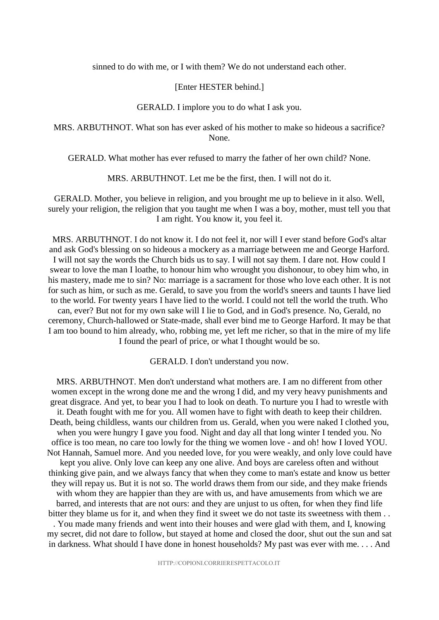sinned to do with me, or I with them? We do not understand each other.

#### [Enter HESTER behind.]

#### GERALD. I implore you to do what I ask you.

MRS. ARBUTHNOT. What son has ever asked of his mother to make so hideous a sacrifice? None.

GERALD. What mother has ever refused to marry the father of her own child? None.

MRS. ARBUTHNOT. Let me be the first, then. I will not do it.

GERALD. Mother, you believe in religion, and you brought me up to believe in it also. Well, surely your religion, the religion that you taught me when I was a boy, mother, must tell you that I am right. You know it, you feel it.

MRS. ARBUTHNOT. I do not know it. I do not feel it, nor will I ever stand before God's altar and ask God's blessing on so hideous a mockery as a marriage between me and George Harford. I will not say the words the Church bids us to say. I will not say them. I dare not. How could I swear to love the man I loathe, to honour him who wrought you dishonour, to obey him who, in his mastery, made me to sin? No: marriage is a sacrament for those who love each other. It is not for such as him, or such as me. Gerald, to save you from the world's sneers and taunts I have lied to the world. For twenty years I have lied to the world. I could not tell the world the truth. Who can, ever? But not for my own sake will I lie to God, and in God's presence. No, Gerald, no ceremony, Church-hallowed or State-made, shall ever bind me to George Harford. It may be that I am too bound to him already, who, robbing me, yet left me richer, so that in the mire of my life I found the pearl of price, or what I thought would be so.

GERALD. I don't understand you now.

MRS. ARBUTHNOT. Men don't understand what mothers are. I am no different from other women except in the wrong done me and the wrong I did, and my very heavy punishments and great disgrace. And yet, to bear you I had to look on death. To nurture you I had to wrestle with it. Death fought with me for you. All women have to fight with death to keep their children. Death, being childless, wants our children from us. Gerald, when you were naked I clothed you, when you were hungry I gave you food. Night and day all that long winter I tended you. No office is too mean, no care too lowly for the thing we women love - and oh! how I loved YOU. Not Hannah, Samuel more. And you needed love, for you were weakly, and only love could have kept you alive. Only love can keep any one alive. And boys are careless often and without thinking give pain, and we always fancy that when they come to man's estate and know us better they will repay us. But it is not so. The world draws them from our side, and they make friends with whom they are happier than they are with us, and have amusements from which we are barred, and interests that are not ours: and they are unjust to us often, for when they find life bitter they blame us for it, and when they find it sweet we do not taste its sweetness with them ...

. You made many friends and went into their houses and were glad with them, and I, knowing my secret, did not dare to follow, but stayed at home and closed the door, shut out the sun and sat in darkness. What should I have done in honest households? My past was ever with me. . . . And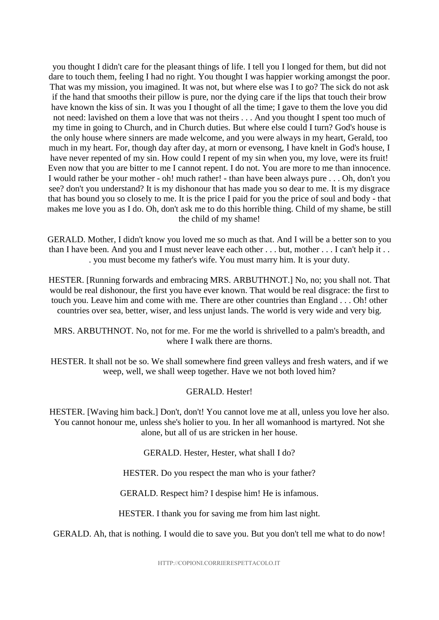you thought I didn't care for the pleasant things of life. I tell you I longed for them, but did not dare to touch them, feeling I had no right. You thought I was happier working amongst the poor. That was my mission, you imagined. It was not, but where else was I to go? The sick do not ask if the hand that smooths their pillow is pure, nor the dying care if the lips that touch their brow have known the kiss of sin. It was you I thought of all the time; I gave to them the love you did not need: lavished on them a love that was not theirs . . . And you thought I spent too much of my time in going to Church, and in Church duties. But where else could I turn? God's house is the only house where sinners are made welcome, and you were always in my heart, Gerald, too much in my heart. For, though day after day, at morn or evensong, I have knelt in God's house, I have never repented of my sin. How could I repent of my sin when you, my love, were its fruit! Even now that you are bitter to me I cannot repent. I do not. You are more to me than innocence. I would rather be your mother - oh! much rather! - than have been always pure . . . Oh, don't you see? don't you understand? It is my dishonour that has made you so dear to me. It is my disgrace that has bound you so closely to me. It is the price I paid for you the price of soul and body - that makes me love you as I do. Oh, don't ask me to do this horrible thing. Child of my shame, be still the child of my shame!

GERALD. Mother, I didn't know you loved me so much as that. And I will be a better son to you than I have been. And you and I must never leave each other . . . but, mother . . . I can't help it . . . you must become my father's wife. You must marry him. It is your duty.

HESTER. [Running forwards and embracing MRS. ARBUTHNOT.] No, no; you shall not. That would be real dishonour, the first you have ever known. That would be real disgrace: the first to touch you. Leave him and come with me. There are other countries than England . . . Oh! other countries over sea, better, wiser, and less unjust lands. The world is very wide and very big.

#### MRS. ARBUTHNOT. No, not for me. For me the world is shrivelled to a palm's breadth, and where I walk there are thorns.

HESTER. It shall not be so. We shall somewhere find green valleys and fresh waters, and if we weep, well, we shall weep together. Have we not both loved him?

#### GERALD. Hester!

HESTER. [Waving him back.] Don't, don't! You cannot love me at all, unless you love her also. You cannot honour me, unless she's holier to you. In her all womanhood is martyred. Not she alone, but all of us are stricken in her house.

GERALD. Hester, Hester, what shall I do?

HESTER. Do you respect the man who is your father?

GERALD. Respect him? I despise him! He is infamous.

HESTER. I thank you for saving me from him last night.

GERALD. Ah, that is nothing. I would die to save you. But you don't tell me what to do now!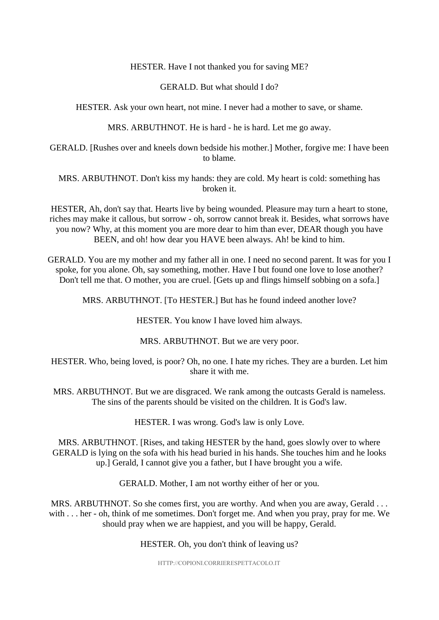#### HESTER. Have I not thanked you for saving ME?

#### GERALD. But what should I do?

#### HESTER. Ask your own heart, not mine. I never had a mother to save, or shame.

MRS. ARBUTHNOT. He is hard - he is hard. Let me go away.

GERALD. [Rushes over and kneels down bedside his mother.] Mother, forgive me: I have been to blame.

MRS. ARBUTHNOT. Don't kiss my hands: they are cold. My heart is cold: something has broken it.

HESTER, Ah, don't say that. Hearts live by being wounded. Pleasure may turn a heart to stone, riches may make it callous, but sorrow - oh, sorrow cannot break it. Besides, what sorrows have you now? Why, at this moment you are more dear to him than ever, DEAR though you have BEEN, and oh! how dear you HAVE been always. Ah! be kind to him.

GERALD. You are my mother and my father all in one. I need no second parent. It was for you I spoke, for you alone. Oh, say something, mother. Have I but found one love to lose another? Don't tell me that. O mother, you are cruel. [Gets up and flings himself sobbing on a sofa.]

MRS. ARBUTHNOT. [To HESTER.] But has he found indeed another love?

HESTER. You know I have loved him always.

MRS. ARBUTHNOT. But we are very poor.

HESTER. Who, being loved, is poor? Oh, no one. I hate my riches. They are a burden. Let him share it with me.

MRS. ARBUTHNOT. But we are disgraced. We rank among the outcasts Gerald is nameless. The sins of the parents should be visited on the children. It is God's law.

HESTER. I was wrong. God's law is only Love.

MRS. ARBUTHNOT. [Rises, and taking HESTER by the hand, goes slowly over to where GERALD is lying on the sofa with his head buried in his hands. She touches him and he looks up.] Gerald, I cannot give you a father, but I have brought you a wife.

GERALD. Mother, I am not worthy either of her or you.

MRS. ARBUTHNOT. So she comes first, you are worthy. And when you are away, Gerald . . . with . . . her - oh, think of me sometimes. Don't forget me. And when you pray, pray for me. We should pray when we are happiest, and you will be happy, Gerald.

#### HESTER. Oh, you don't think of leaving us?

HTTP://COPIONI.CORRIERESPETTACOLO.IT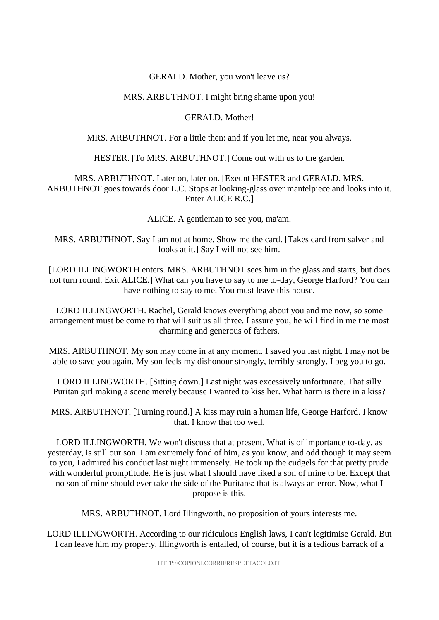#### GERALD. Mother, you won't leave us?

#### MRS. ARBUTHNOT. I might bring shame upon you!

#### GERALD. Mother!

MRS. ARBUTHNOT. For a little then: and if you let me, near you always.

HESTER. [To MRS. ARBUTHNOT.] Come out with us to the garden.

MRS. ARBUTHNOT. Later on, later on. [Exeunt HESTER and GERALD. MRS. ARBUTHNOT goes towards door L.C. Stops at looking-glass over mantelpiece and looks into it. Enter ALICE R.C.]

ALICE. A gentleman to see you, ma'am.

MRS. ARBUTHNOT. Say I am not at home. Show me the card. [Takes card from salver and looks at it.] Say I will not see him.

[LORD ILLINGWORTH enters. MRS. ARBUTHNOT sees him in the glass and starts, but does not turn round. Exit ALICE.] What can you have to say to me to-day, George Harford? You can have nothing to say to me. You must leave this house.

LORD ILLINGWORTH. Rachel, Gerald knows everything about you and me now, so some arrangement must be come to that will suit us all three. I assure you, he will find in me the most charming and generous of fathers.

MRS. ARBUTHNOT. My son may come in at any moment. I saved you last night. I may not be able to save you again. My son feels my dishonour strongly, terribly strongly. I beg you to go.

LORD ILLINGWORTH. [Sitting down.] Last night was excessively unfortunate. That silly Puritan girl making a scene merely because I wanted to kiss her. What harm is there in a kiss?

MRS. ARBUTHNOT. [Turning round.] A kiss may ruin a human life, George Harford. I know that. I know that too well.

LORD ILLINGWORTH. We won't discuss that at present. What is of importance to-day, as yesterday, is still our son. I am extremely fond of him, as you know, and odd though it may seem to you, I admired his conduct last night immensely. He took up the cudgels for that pretty prude with wonderful promptitude. He is just what I should have liked a son of mine to be. Except that no son of mine should ever take the side of the Puritans: that is always an error. Now, what I propose is this.

MRS. ARBUTHNOT. Lord Illingworth, no proposition of yours interests me.

LORD ILLINGWORTH. According to our ridiculous English laws, I can't legitimise Gerald. But I can leave him my property. Illingworth is entailed, of course, but it is a tedious barrack of a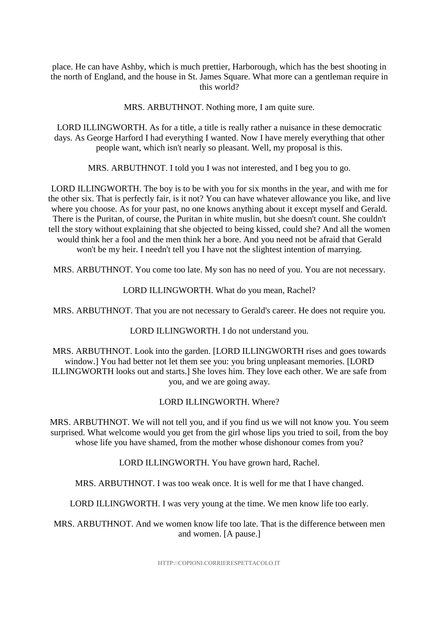place. He can have Ashby, which is much prettier, Harborough, which has the best shooting in the north of England, and the house in St. James Square. What more can a gentleman require in this world?

MRS. ARBUTHNOT. Nothing more, I am quite sure.

LORD ILLINGWORTH. As for a title, a title is really rather a nuisance in these democratic days. As George Harford I had everything I wanted. Now I have merely everything that other people want, which isn't nearly so pleasant. Well, my proposal is this.

MRS. ARBUTHNOT. I told you I was not interested, and I beg you to go.

LORD ILLINGWORTH. The boy is to be with you for six months in the year, and with me for the other six. That is perfectly fair, is it not? You can have whatever allowance you like, and live where you choose. As for your past, no one knows anything about it except myself and Gerald. There is the Puritan, of course, the Puritan in white muslin, but she doesn't count. She couldn't tell the story without explaining that she objected to being kissed, could she? And all the women would think her a fool and the men think her a bore. And you need not be afraid that Gerald won't be my heir. I needn't tell you I have not the slightest intention of marrying.

MRS. ARBUTHNOT. You come too late. My son has no need of you. You are not necessary.

LORD ILLINGWORTH. What do you mean, Rachel?

MRS. ARBUTHNOT. That you are not necessary to Gerald's career. He does not require you.

LORD ILLINGWORTH. I do not understand you.

MRS. ARBUTHNOT. Look into the garden. [LORD ILLINGWORTH rises and goes towards window.] You had better not let them see you: you bring unpleasant memories. [LORD ILLINGWORTH looks out and starts.] She loves him. They love each other. We are safe from you, and we are going away.

LORD ILLINGWORTH. Where?

MRS. ARBUTHNOT. We will not tell you, and if you find us we will not know you. You seem surprised. What welcome would you get from the girl whose lips you tried to soil, from the boy whose life you have shamed, from the mother whose dishonour comes from you?

LORD ILLINGWORTH. You have grown hard, Rachel.

MRS. ARBUTHNOT. I was too weak once. It is well for me that I have changed.

LORD ILLINGWORTH. I was very young at the time. We men know life too early.

MRS. ARBUTHNOT. And we women know life too late. That is the difference between men and women. [A pause.]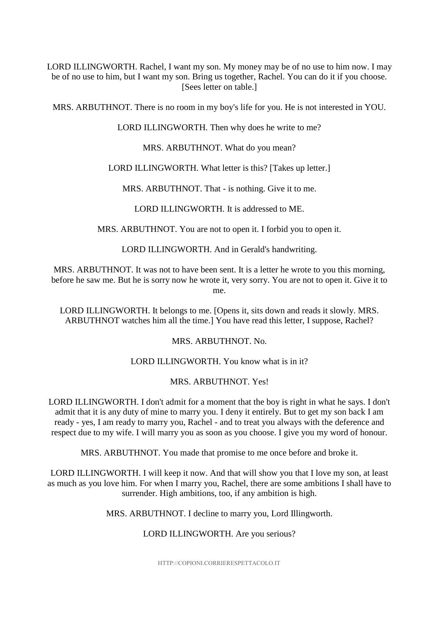LORD ILLINGWORTH. Rachel, I want my son. My money may be of no use to him now. I may be of no use to him, but I want my son. Bring us together, Rachel. You can do it if you choose. [Sees letter on table.]

MRS. ARBUTHNOT. There is no room in my boy's life for you. He is not interested in YOU.

LORD ILLINGWORTH. Then why does he write to me?

MRS. ARBUTHNOT. What do you mean?

LORD ILLINGWORTH. What letter is this? [Takes up letter.]

MRS. ARBUTHNOT. That - is nothing. Give it to me.

LORD ILLINGWORTH. It is addressed to ME.

MRS. ARBUTHNOT. You are not to open it. I forbid you to open it.

LORD ILLINGWORTH. And in Gerald's handwriting.

MRS. ARBUTHNOT. It was not to have been sent. It is a letter he wrote to you this morning, before he saw me. But he is sorry now he wrote it, very sorry. You are not to open it. Give it to me.

LORD ILLINGWORTH. It belongs to me. [Opens it, sits down and reads it slowly. MRS. ARBUTHNOT watches him all the time.] You have read this letter, I suppose, Rachel?

MRS. ARBUTHNOT. No.

LORD ILLINGWORTH. You know what is in it?

#### MRS. ARBUTHNOT. Yes!

LORD ILLINGWORTH. I don't admit for a moment that the boy is right in what he says. I don't admit that it is any duty of mine to marry you. I deny it entirely. But to get my son back I am ready - yes, I am ready to marry you, Rachel - and to treat you always with the deference and respect due to my wife. I will marry you as soon as you choose. I give you my word of honour.

MRS. ARBUTHNOT. You made that promise to me once before and broke it.

LORD ILLINGWORTH. I will keep it now. And that will show you that I love my son, at least as much as you love him. For when I marry you, Rachel, there are some ambitions I shall have to surrender. High ambitions, too, if any ambition is high.

MRS. ARBUTHNOT. I decline to marry you, Lord Illingworth.

#### LORD ILLINGWORTH. Are you serious?

HTTP://COPIONI.CORRIERESPETTACOLO.IT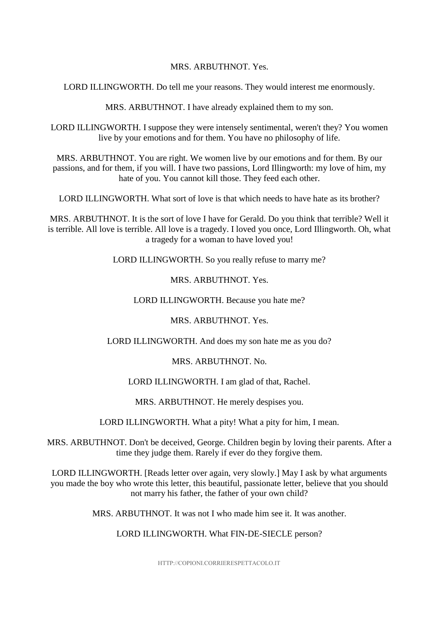#### MRS. ARBUTHNOT. Yes.

LORD ILLINGWORTH. Do tell me your reasons. They would interest me enormously.

MRS. ARBUTHNOT. I have already explained them to my son.

LORD ILLINGWORTH. I suppose they were intensely sentimental, weren't they? You women live by your emotions and for them. You have no philosophy of life.

MRS. ARBUTHNOT. You are right. We women live by our emotions and for them. By our passions, and for them, if you will. I have two passions, Lord Illingworth: my love of him, my hate of you. You cannot kill those. They feed each other.

LORD ILLINGWORTH. What sort of love is that which needs to have hate as its brother?

MRS. ARBUTHNOT. It is the sort of love I have for Gerald. Do you think that terrible? Well it is terrible. All love is terrible. All love is a tragedy. I loved you once, Lord Illingworth. Oh, what a tragedy for a woman to have loved you!

LORD ILLINGWORTH. So you really refuse to marry me?

MRS. ARBUTHNOT. Yes.

LORD ILLINGWORTH. Because you hate me?

MRS. ARBUTHNOT. Yes.

LORD ILLINGWORTH. And does my son hate me as you do?

MRS. ARBUTHNOT. No.

LORD ILLINGWORTH. I am glad of that, Rachel.

MRS. ARBUTHNOT. He merely despises you.

LORD ILLINGWORTH. What a pity! What a pity for him, I mean.

MRS. ARBUTHNOT. Don't be deceived, George. Children begin by loving their parents. After a time they judge them. Rarely if ever do they forgive them.

LORD ILLINGWORTH. [Reads letter over again, very slowly.] May I ask by what arguments you made the boy who wrote this letter, this beautiful, passionate letter, believe that you should not marry his father, the father of your own child?

MRS. ARBUTHNOT. It was not I who made him see it. It was another.

LORD ILLINGWORTH. What FIN-DE-SIECLE person?

HTTP://COPIONI.CORRIERESPETTACOLO.IT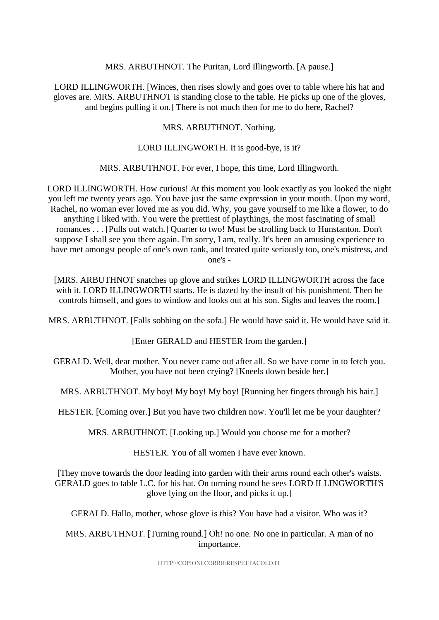#### MRS. ARBUTHNOT. The Puritan, Lord Illingworth. [A pause.]

LORD ILLINGWORTH. [Winces, then rises slowly and goes over to table where his hat and gloves are. MRS. ARBUTHNOT is standing close to the table. He picks up one of the gloves, and begins pulling it on.] There is not much then for me to do here, Rachel?

MRS. ARBUTHNOT. Nothing.

#### LORD ILLINGWORTH. It is good-bye, is it?

#### MRS. ARBUTHNOT. For ever, I hope, this time, Lord Illingworth.

LORD ILLINGWORTH. How curious! At this moment you look exactly as you looked the night you left me twenty years ago. You have just the same expression in your mouth. Upon my word, Rachel, no woman ever loved me as you did. Why, you gave yourself to me like a flower, to do anything I liked with. You were the prettiest of playthings, the most fascinating of small romances . . . [Pulls out watch.] Quarter to two! Must be strolling back to Hunstanton. Don't suppose I shall see you there again. I'm sorry, I am, really. It's been an amusing experience to have met amongst people of one's own rank, and treated quite seriously too, one's mistress, and one's -

[MRS. ARBUTHNOT snatches up glove and strikes LORD ILLINGWORTH across the face with it. LORD ILLINGWORTH starts. He is dazed by the insult of his punishment. Then he controls himself, and goes to window and looks out at his son. Sighs and leaves the room.]

MRS. ARBUTHNOT. [Falls sobbing on the sofa.] He would have said it. He would have said it.

[Enter GERALD and HESTER from the garden.]

GERALD. Well, dear mother. You never came out after all. So we have come in to fetch you. Mother, you have not been crying? [Kneels down beside her.]

MRS. ARBUTHNOT. My boy! My boy! My boy! [Running her fingers through his hair.]

HESTER. [Coming over.] But you have two children now. You'll let me be your daughter?

MRS. ARBUTHNOT. [Looking up.] Would you choose me for a mother?

HESTER. You of all women I have ever known.

[They move towards the door leading into garden with their arms round each other's waists. GERALD goes to table L.C. for his hat. On turning round he sees LORD ILLINGWORTH'S glove lying on the floor, and picks it up.]

GERALD. Hallo, mother, whose glove is this? You have had a visitor. Who was it?

#### MRS. ARBUTHNOT. [Turning round.] Oh! no one. No one in particular. A man of no importance.